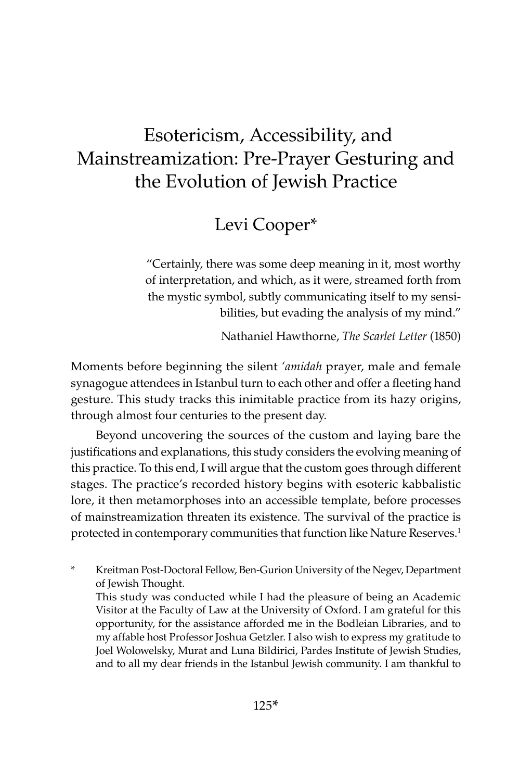# Esotericism, Accessibility, and Mainstreamization: Pre-Prayer Gesturing and the Evolution of Jewish Practice

# Levi Cooper\*

"Certainly, there was some deep meaning in it, most worthy of interpretation, and which, as it were, streamed forth from the mystic symbol, subtly communicating itself to my sensibilities, but evading the analysis of my mind."

Nathaniel Hawthorne, *The Scarlet Letter* (1850)

Moments before beginning the silent *'amidah* prayer, male and female synagogue attendees in Istanbul turn to each other and offer a fleeting hand gesture. This study tracks this inimitable practice from its hazy origins, through almost four centuries to the present day.

Beyond uncovering the sources of the custom and laying bare the justifications and explanations, this study considers the evolving meaning of this practice. To this end, I will argue that the custom goes through different stages. The practice's recorded history begins with esoteric kabbalistic lore, it then metamorphoses into an accessible template, before processes of mainstreamization threaten its existence. The survival of the practice is protected in contemporary communities that function like Nature Reserves.<sup>1</sup>

\* Kreitman Post-Doctoral Fellow, Ben-Gurion University of the Negev, Department of Jewish Thought. This study was conducted while I had the pleasure of being an Academic Visitor at the Faculty of Law at the University of Oxford. I am grateful for this opportunity, for the assistance afforded me in the Bodleian Libraries, and to my affable host Professor Joshua Getzler. I also wish to express my gratitude to Joel Wolowelsky, Murat and Luna Bildirici, Pardes Institute of Jewish Studies, and to all my dear friends in the Istanbul Jewish community. I am thankful to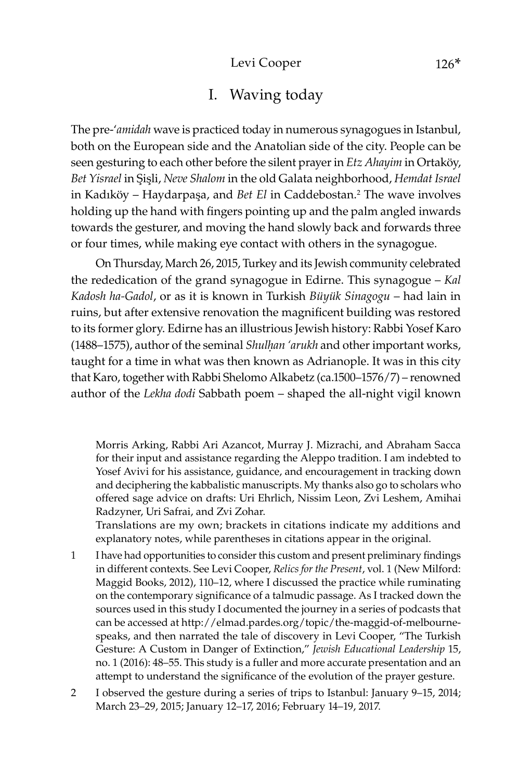#### Levi Cooper 126<sup>\*</sup>

### I. Waving today

The pre-'*amidah* wave is practiced today in numerous synagogues in Istanbul, both on the European side and the Anatolian side of the city. People can be seen gesturing to each other before the silent prayerin *Etz Ahayim* in Ortaköy, Bet Yisrael in Sisli, *Neve Shalom* in the old Galata neighborhood, *Hemdat Israel* in Kadıköy – Haydarpaşa, and *Bet El* in Caddebostan.<sup>2</sup> The wave involves holding up the hand with fingers pointing up and the palm angled inwards towards the gesturer, and moving the hand slowly back and forwards three or four times, while making eye contact with others in the synagogue.

On Thursday, March 26, 2015, Turkey and its Jewish community celebrated the rededication of the grand synagogue in Edirne. This synagogue – *Kal Kadosh ha-Gadol*, or as it is known in Turkish *Büyük Sinagogu* – had lain in ruins, but after extensive renovation the magnificent building was restored to its former glory. Edirne has an illustrious Jewish history: Rabbi Yosef Karo (1488–1575), author of the seminal *Shulḥan 'arukh* and other important works, taught for a time in what was then known as Adrianople. It was in this city that Karo, together with Rabbi Shelomo Alkabetz (ca.1500–1576/7) – renowned author of the *Lekha dodi* Sabbath poem – shaped the all-night vigil known

Morris Arking, Rabbi Ari Azancot, Murray J. Mizrachi, and Abraham Sacca for their input and assistance regarding the Aleppo tradition. I am indebted to Yosef Avivi for his assistance, guidance, and encouragement in tracking down and deciphering the kabbalistic manuscripts. My thanks also go to scholars who offered sage advice on drafts: Uri Ehrlich, Nissim Leon, Zvi Leshem, Amihai Radzyner, Uri Safrai, and Zvi Zohar.

Translations are my own; brackets in citations indicate my additions and explanatory notes, while parentheses in citations appear in the original.

- 1 I have had opportunities to consider this custom and present preliminary findings in different contexts. See Levi Cooper, *Relics for the Present*, vol. 1 (New Milford: Maggid Books, 2012), 110–12, where I discussed the practice while ruminating on the contemporary significance of a talmudic passage. As I tracked down the sources used in this study I documented the journey in a series of podcasts that can be accessed at http://elmad.pardes.org/topic/the-maggid-of-melbournespeaks, and then narrated the tale of discovery in Levi Cooper, "The Turkish Gesture: A Custom in Danger of Extinction," *Jewish Educational Leadership* 15, no. 1 (2016): 48–55. This study is a fuller and more accurate presentation and an attempt to understand the significance of the evolution of the prayer gesture.
- 2 I observed the gesture during a series of trips to Istanbul: January 9–15, 2014; March 23–29, 2015; January 12–17, 2016; February 14–19, 2017.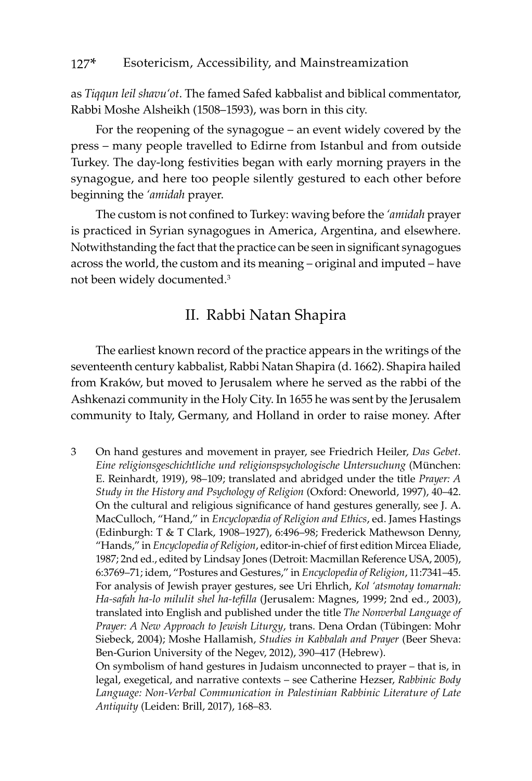as *Tiqqun leil shavu'ot*. The famed Safed kabbalist and biblical commentator, Rabbi Moshe Alsheikh (1508–1593), was born in this city.

For the reopening of the synagogue – an event widely covered by the press – many people travelled to Edirne from Istanbul and from outside Turkey. The day-long festivities began with early morning prayers in the synagogue, and here too people silently gestured to each other before beginning the *'amidah* prayer.

The custom is not confined to Turkey: waving before the *'amidah* prayer is practiced in Syrian synagogues in America, Argentina, and elsewhere. Notwithstanding the fact that the practice can be seen in significant synagogues across the world, the custom and its meaning – original and imputed – have not been widely documented.3

### II. Rabbi Natan Shapira

The earliest known record of the practice appears in the writings of the seventeenth century kabbalist, Rabbi Natan Shapira (d. 1662). Shapira hailed from Kraków, but moved to Jerusalem where he served as the rabbi of the Ashkenazi community in the Holy City. In 1655 he was sent by the Jerusalem community to Italy, Germany, and Holland in order to raise money. After

3 On hand gestures and movement in prayer, see Friedrich Heiler, *Das Gebet. Eine religionsgeschichtliche und religionspsychologische Untersuchung* (München: E. Reinhardt, 1919), 98–109; translated and abridged under the title *Prayer: A Study in the History and Psychology of Religion* (Oxford: Oneworld, 1997), 40–42. On the cultural and religious significance of hand gestures generally, see J. A. MacCulloch, "Hand," in *Encyclopædia of Religion and Ethics*, ed. James Hastings (Edinburgh: T & T Clark, 1908–1927), 6:496–98; Frederick Mathewson Denny, "Hands," in *Encyclopedia of Religion*, editor-in-chief of first edition Mircea Eliade, 1987; 2nd ed., edited by Lindsay Jones (Detroit: Macmillan Reference USA, 2005), 6:3769–71; idem, "Postures and Gestures," in *Encyclopedia of Religion*, 11:7341–45. For analysis of Jewish prayer gestures, see Uri Ehrlich, *Kol 'atsmotay tomarnah: Ha-safah ha-lo milulit shel ha-tefilla* (Jerusalem: Magnes, 1999; 2nd ed., 2003), translated into English and published under the title *The Nonverbal Language of Prayer: A New Approach to Jewish Liturgy*, trans. Dena Ordan (Tübingen: Mohr Siebeck, 2004); Moshe Hallamish, *Studies in Kabbalah and Prayer* (Beer Sheva: Ben-Gurion University of the Negev, 2012), 390–417 (Hebrew).

On symbolism of hand gestures in Judaism unconnected to prayer – that is, in legal, exegetical, and narrative contexts – see Catherine Hezser, *Rabbinic Body Language: Non-Verbal Communication in Palestinian Rabbinic Literature of Late Antiquity* (Leiden: Brill, 2017), 168–83.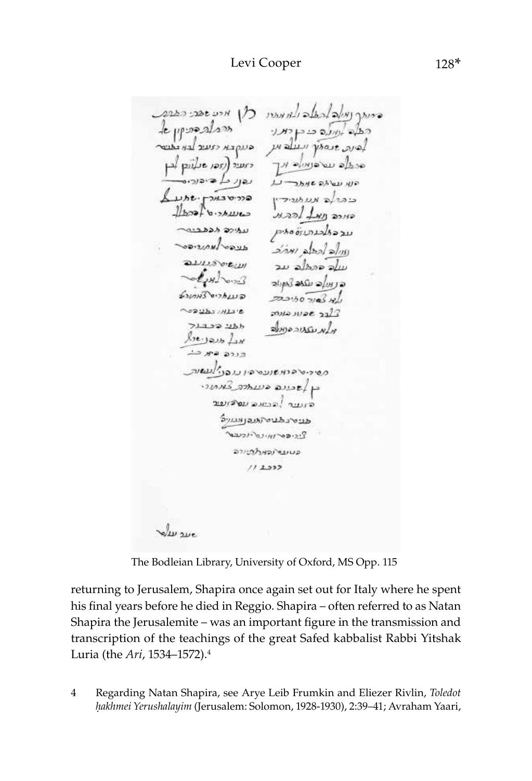CONSCIENCE CALGINALI DIALA MECARE CARR de prosecutos כבלים אונינאים בי בן דומרו לבינה הוסמך ועולב וען הנוקבא יזעיב לבא הלבטי ala usanis np cruse (125) post por עבונ בא ביבורים  $\overline{L}$ יון עם לפ שנתר  $L$ <sub> $H$ </sub> $t$ <sup> $H$ </sup> $T$  $H$  $T$  $T$  $T$ בנברלה מעמפידין  $l$  book  $\omega$  $1522$   $181$ unce receiv حطحده وقودم Avenuau/verso الاراه احطه المؤتم வயல் சம עולם בהכלב עב  $\epsilon$ ه در ساده منکده کردوراد ร์งเกษรี อาวล เมล 723.50 710 18/1 ~ *o* a y ba y HLa 'e  $m$ us suse 71722 226 Amossissus ulm  $k_2$ ورده مبر دنه פסירים במשועם בין נגבע לעשות בן לשבונה בעותרב במתורי הנענר להבואה עס דועוב SyLUMOULOUS ציריבס ואינט יולעבר อาเกรษาอาจมนอ  $112332$ Je sur

The Bodleian Library, University of Oxford, MS Opp. 115

returning to Jerusalem, Shapira once again set out for Italy where he spent his final years before he died in Reggio. Shapira – often referred to as Natan Shapira the Jerusalemite – was an important figure in the transmission and transcription of the teachings of the great Safed kabbalist Rabbi Yitshak Luria (the *Ari*, 1534–1572).<sup>4</sup>

4 Regarding Natan Shapira, see Arye Leib Frumkin and Eliezer Rivlin, *Toledot êakhmei Yerushalayim* (Jerusalem: Solomon, 1928-1930), 2:39–41; Avraham Yaari,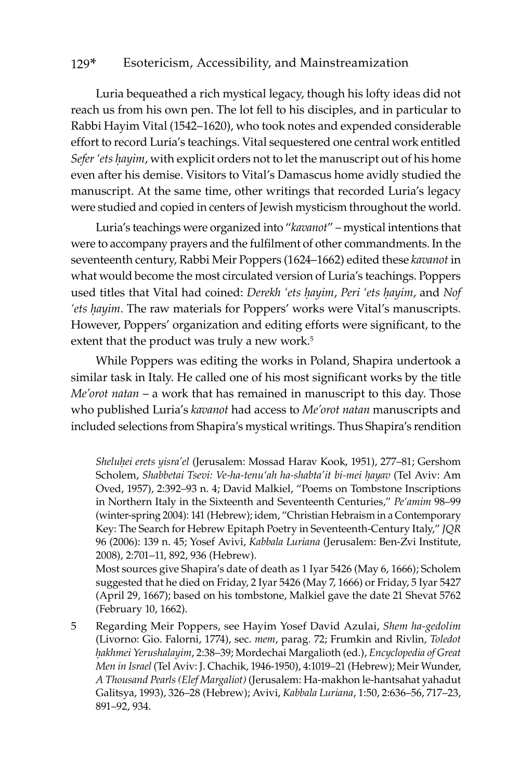Luria bequeathed a rich mystical legacy, though his lofty ideas did not reach us from his own pen. The lot fell to his disciples, and in particular to Rabbi Hayim Vital (1542–1620), who took notes and expended considerable effort to record Luria's teachings. Vital sequestered one central work entitled *Sefer 'ets ḥayim*, with explicit orders not to let the manuscript out of his home even after his demise. Visitors to Vital's Damascus home avidly studied the manuscript. At the same time, other writings that recorded Luria's legacy were studied and copied in centers of Jewish mysticism throughout the world.

Luria's teachings were organized into "*kavanot*" – mystical intentions that were to accompany prayers and the fulfilment of other commandments. In the seventeenth century, Rabbi Meir Poppers (1624–1662) edited these *kavanot* in what would become the most circulated version of Luria's teachings. Poppers used titles that Vital had coined: *Derekh 'ets ḥayim*, *Peri 'ets ḥayim*, and *Nof 'ets ḥayim*. The raw materials for Poppers' works were Vital's manuscripts. However, Poppers' organization and editing efforts were significant, to the extent that the product was truly a new work.<sup>5</sup>

While Poppers was editing the works in Poland, Shapira undertook a similar task in Italy. He called one of his most significant works by the title *Me'orot natan* – a work that has remained in manuscript to this day. Those who published Luria's *kavanot* had access to *Me'orot natan* manuscripts and included selections from Shapira's mystical writings. Thus Shapira's rendition

*Sheluêei erets yisra'el* (Jerusalem: Mossad Harav Kook, 1951), 277–81; Gershom Scholem, Shabbetai Tsevi: Ve-ha-tenu'ah ha-shabta'it bi-mei hayav (Tel Aviv: Am Oved, 1957), 2:392–93 n. 4; David Malkiel, "Poems on Tombstone Inscriptions in Northern Italy in the Sixteenth and Seventeenth Centuries," *Pe'amim* 98–99 (winter-spring 2004): 141 (Hebrew); idem, "Christian Hebraism in a Contemporary Key: The Search for Hebrew Epitaph Poetry in Seventeenth-Century Italy," *JQR* 96 (2006): 139 n. 45; Yosef Avivi, *Kabbala Luriana* (Jerusalem: Ben-Zvi Institute, 2008), 2:701–11, 892, 936 (Hebrew).

Most sources give Shapira's date of death as 1 Iyar 5426 (May 6, 1666); Scholem suggested that he died on Friday, 2 Iyar 5426 (May 7, 1666) or Friday, 5 Iyar 5427 (April 29, 1667); based on his tombstone, Malkiel gave the date 21 Shevat 5762 (February 10, 1662).

5 Regarding Meir Poppers, see Hayim Yosef David Azulai, *Shem ha-gedolim* (Livorno: Gio. Falorni, 1774), sec. *mem*, parag. 72; Frumkin and Rivlin, *Toledot êakhmei Yerushalayim*, 2:38–39; Mordechai Margalioth (ed.), *Encyclopedia of Great Men in Israel* (Tel Aviv: J. Chachik, 1946-1950), 4:1019–21 (Hebrew); Meir Wunder, *A Thousand Pearls (Elef Margaliot)* (Jerusalem: Ha-makhon le-hantsahat yahadut Galitsya, 1993), 326–28 (Hebrew); Avivi, *Kabbala Luriana*, 1:50, 2:636–56, 717–23, 891–92, 934.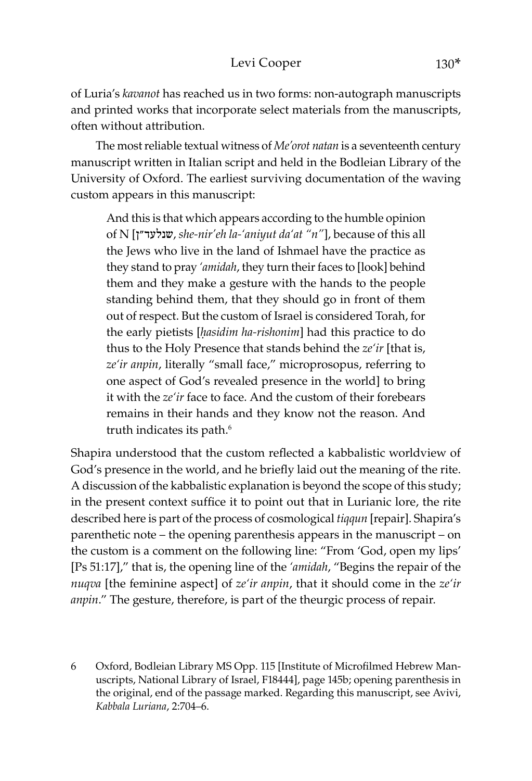of Luria's *kavanot* has reached us in two forms: non-autograph manuscripts and printed works that incorporate select materials from the manuscripts, often without attribution.

The most reliable textual witness of *Me'orot natan* is a seventeenth century manuscript written in Italian script and held in the Bodleian Library of the University of Oxford. The earliest surviving documentation of the waving custom appears in this manuscript:

And this is that which appears according to the humble opinion of N [ן"שנלעד, *she-nir'eh la-'aniyut da'at "n"*], because of this all the Jews who live in the land of Ishmael have the practice as they stand to pray *'amidah*, they turn their faces to [look] behind them and they make a gesture with the hands to the people standing behind them, that they should go in front of them out of respect. But the custom of Israel is considered Torah, for the early pietists [*ḥasidim ha-rishonim*] had this practice to do thus to the Holy Presence that stands behind the *ze'ir* [that is, *ze'ir anpin*, literally "small face," microprosopus, referring to one aspect of God's revealed presence in the world] to bring it with the *ze'ir* face to face. And the custom of their forebears remains in their hands and they know not the reason. And truth indicates its path.<sup>6</sup>

Shapira understood that the custom reflected a kabbalistic worldview of God's presence in the world, and he briefly laid out the meaning of the rite. A discussion of the kabbalistic explanation is beyond the scope of this study; in the present context suffice it to point out that in Lurianic lore, the rite described here is part of the process of cosmological *tiqqun* [repair]. Shapira's parenthetic note – the opening parenthesis appears in the manuscript – on the custom is a comment on the following line: "From 'God, open my lips' [Ps 51:17]," that is, the opening line of the *'amidah*, "Begins the repair of the *nuqva* [the feminine aspect] of *ze'ir anpin*, that it should come in the *ze'ir anpin*." The gesture, therefore, is part of the theurgic process of repair.

6 Oxford, Bodleian Library MS Opp. 115 [Institute of Microfilmed Hebrew Manuscripts, National Library of Israel, F18444], page 145b; opening parenthesis in the original, end of the passage marked. Regarding this manuscript, see Avivi, *Kabbala Luriana*, 2:704–6.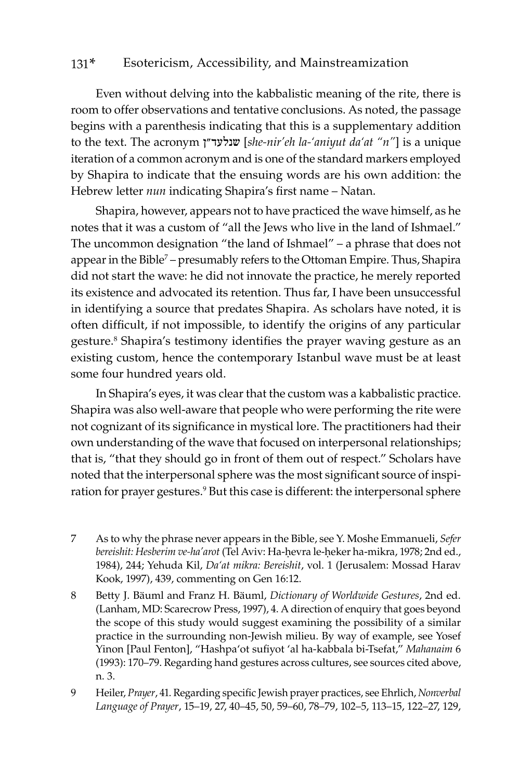Even without delving into the kabbalistic meaning of the rite, there is room to offer observations and tentative conclusions. As noted, the passage begins with a parenthesis indicating that this is a supplementary addition to the text. The acronym ן"שנלעד] *she-nir'eh la-'aniyut da'at "n"*] is a unique iteration of a common acronym and is one of the standard markers employed by Shapira to indicate that the ensuing words are his own addition: the Hebrew letter *nun* indicating Shapira's first name – Natan.

Shapira, however, appears not to have practiced the wave himself, as he notes that it was a custom of "all the Jews who live in the land of Ishmael." The uncommon designation "the land of Ishmael" – a phrase that does not appear in the Bible<sup>7</sup> – presumably refers to the Ottoman Empire. Thus, Shapira did not start the wave: he did not innovate the practice, he merely reported its existence and advocated its retention. Thus far, I have been unsuccessful in identifying a source that predates Shapira. As scholars have noted, it is often difficult, if not impossible, to identify the origins of any particular gesture.8 Shapira's testimony identifies the prayer waving gesture as an existing custom, hence the contemporary Istanbul wave must be at least some four hundred years old.

In Shapira's eyes, it was clear that the custom was a kabbalistic practice. Shapira was also well-aware that people who were performing the rite were not cognizant of its significance in mystical lore. The practitioners had their own understanding of the wave that focused on interpersonal relationships; that is, "that they should go in front of them out of respect." Scholars have noted that the interpersonal sphere was the most significant source of inspiration for prayer gestures.<sup>9</sup> But this case is different: the interpersonal sphere

- 7 As to why the phrase never appears in the Bible, see Y. Moshe Emmanueli, *Sefer*  bereishit: Hesberim ve-ha'arot (Tel Aviv: Ha-ḥevra le-ḥeker ha-mikra, 1978; 2nd ed., 1984), 244; Yehuda Kil, *Da'at mikra: Bereishit*, vol. 1 (Jerusalem: Mossad Harav Kook, 1997), 439, commenting on Gen 16:12.
- 8 Betty J. Bäuml and Franz H. Bäuml, *Dictionary of Worldwide Gestures*, 2nd ed. (Lanham, MD: Scarecrow Press, 1997), 4. A direction of enquiry that goes beyond the scope of this study would suggest examining the possibility of a similar practice in the surrounding non-Jewish milieu. By way of example, see Yosef Yinon [Paul Fenton], "Hashpa'ot sufiyot 'al ha-kabbala bi-Tsefat," *Mahanaim* 6 (1993): 170–79. Regarding hand gestures across cultures, see sources cited above, n. 3.
- 9 Heiler, *Prayer*, 41. Regarding specific Jewish prayer practices, see Ehrlich, *Nonverbal Language of Prayer*, 15–19, 27, 40–45, 50, 59–60, 78–79, 102–5, 113–15, 122–27, 129,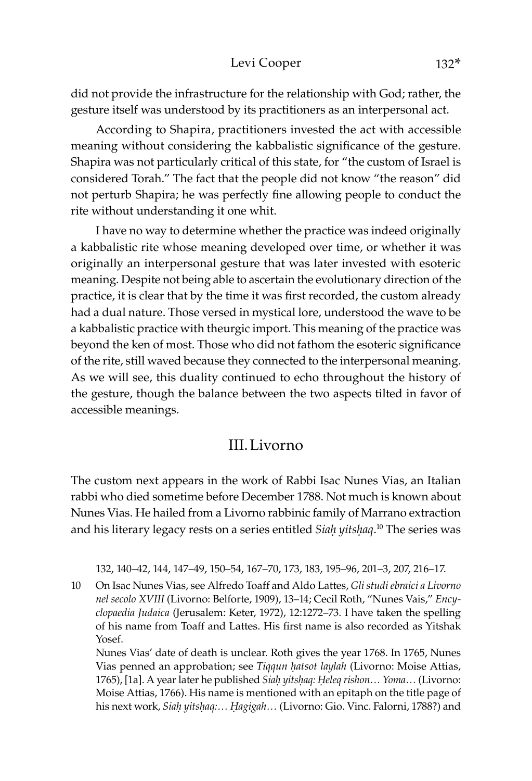#### Levi Cooper 132\*

did not provide the infrastructure for the relationship with God; rather, the gesture itself was understood by its practitioners as an interpersonal act.

According to Shapira, practitioners invested the act with accessible meaning without considering the kabbalistic significance of the gesture. Shapira was not particularly critical of this state, for "the custom of Israel is considered Torah." The fact that the people did not know "the reason" did not perturb Shapira; he was perfectly fine allowing people to conduct the rite without understanding it one whit.

I have no way to determine whether the practice was indeed originally a kabbalistic rite whose meaning developed over time, or whether it was originally an interpersonal gesture that was later invested with esoteric meaning. Despite not being able to ascertain the evolutionary direction of the practice, it is clear that by the time it was first recorded, the custom already had a dual nature. Those versed in mystical lore, understood the wave to be a kabbalistic practice with theurgic import. This meaning of the practice was beyond the ken of most. Those who did not fathom the esoteric significance of the rite, still waved because they connected to the interpersonal meaning. As we will see, this duality continued to echo throughout the history of the gesture, though the balance between the two aspects tilted in favor of accessible meanings.

#### III.Livorno

The custom next appears in the work of Rabbi Isac Nunes Vias, an Italian rabbi who died sometime before December 1788. Not much is known about Nunes Vias. He hailed from a Livorno rabbinic family of Marrano extraction and his literary legacy rests on a series entitled *Siaḥ yitsḥaq*. 10 The series was

132, 140–42, 144, 147–49, 150–54, 167–70, 173, 183, 195–96, 201–3, 207, 216–17.

10 On Isac Nunes Vias, see Alfredo Toaff and Aldo Lattes, *Gli studi ebraici a Livorno nel secolo XVIII* (Livorno: Belforte, 1909), 13–14; Cecil Roth, "Nunes Vais," *Encyclopaedia Judaica* (Jerusalem: Keter, 1972), 12:1272–73. I have taken the spelling of his name from Toaff and Lattes. His first name is also recorded as Yitshak Yosef.

Nunes Vias' date of death is unclear. Roth gives the year 1768. In 1765, Nunes Vias penned an approbation; see *Tiqqun ḥatsot laylah* (Livorno: Moise Attias, 1765), [1a]. A year later he published *Siaḥ yitsḥaq: Ḥeleq rishon… Yoma…* (Livorno: Moise Attias, 1766). His name is mentioned with an epitaph on the title page of his next work, *Siaḥ yitsḥaq:… Êagigah…* (Livorno: Gio. Vinc. Falorni, 1788?) and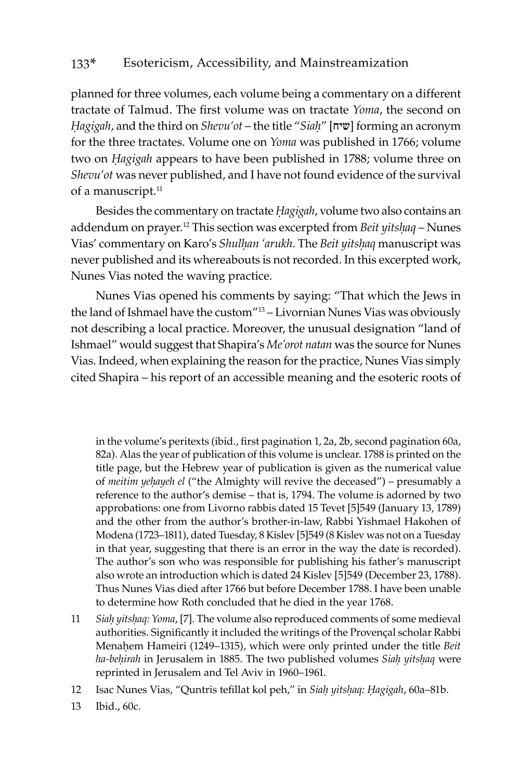planned for three volumes, each volume being a commentary on a different tractate of Talmud. The first volume was on tractate *Yoma*, the second on *Ḥagigah*, and the third on *Shevu'ot* – the title "*Siaḥ*" [שיח [forming an acronym for the three tractates. Volume one on *Yoma* was published in 1766; volume two on *Ḥagigah* appears to have been published in 1788; volume three on *Shevu'ot* was never published, and I have not found evidence of the survival of a manuscript.<sup>11</sup>

Besides the commentary on tractate *Ḥagigah*, volume two also contains an addendum on prayer.<sup>12</sup> This section was excerpted from *Beit yitshaq* – Nunes Vias' commentary on Karo's *Shulḥan 'arukh*. The *Beit yitsḥaq* manuscript was never published and its whereabouts is not recorded. In this excerpted work, Nunes Vias noted the waving practice.

Nunes Vias opened his comments by saying: "That which the Jews in the land of Ishmael have the custom"13 – Livornian Nunes Vias was obviously not describing a local practice. Moreover, the unusual designation "land of Ishmael" would suggest that Shapira's *Me'orot natan* was the source for Nunes Vias. Indeed, when explaining the reason for the practice, Nunes Vias simply cited Shapira – his report of an accessible meaning and the esoteric roots of

in the volume's peritexts (ibid., first pagination 1, 2a, 2b, second pagination 60a, 82a). Alas the year of publication of this volume is unclear. 1788 is printed on the title page, but the Hebrew year of publication is given as the numerical value of *meitim yeḥayeh el* ("the Almighty will revive the deceased") – presumably a reference to the author's demise – that is, 1794. The volume is adorned by two approbations: one from Livorno rabbis dated 15 Tevet [5]549 (January 13, 1789) and the other from the author's brother-in-law, Rabbi Yishmael Hakohen of Modena (1723–1811), dated Tuesday, 8 Kislev [5]549 (8 Kislev was not on a Tuesday in that year, suggesting that there is an error in the way the date is recorded). The author's son who was responsible for publishing his father's manuscript also wrote an introduction which is dated 24 Kislev [5]549 (December 23, 1788). Thus Nunes Vias died after 1766 but before December 1788. I have been unable to determine how Roth concluded that he died in the year 1768.

- 11 *Siaḥ yitsḥaq: Yoma*, [7]. The volume also reproduced comments of some medieval authorities. Significantly it included the writings of the Provençal scholar Rabbi Menaḥem Hameiri (1249–1315), which were only printed under the title *Beit ha-beḥirah* in Jerusalem in 1885. The two published volumes *Siaḥ yitsḥaq* were reprinted in Jerusalem and Tel Aviv in 1960–1961.
- 12 Isac Nunes Vias, "Quntris tefillat kol peh," in *Siaḥ yitsḥaq: Ḥagigah*, 60a–81b.
- 13 Ibid., 60c.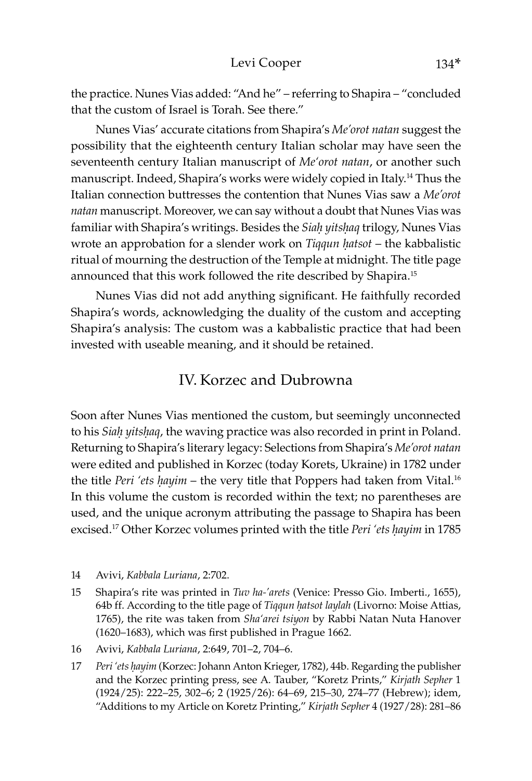the practice. Nunes Vias added: "And he" – referring to Shapira – "concluded that the custom of Israel is Torah. See there."

Nunes Vias' accurate citations from Shapira's *Me'orot natan* suggest the possibility that the eighteenth century Italian scholar may have seen the seventeenth century Italian manuscript of *Me'orot natan*, or another such manuscript. Indeed, Shapira's works were widely copied in Italy.14 Thus the Italian connection buttresses the contention that Nunes Vias saw a *Me'orot natan* manuscript. Moreover, we can say without a doubt that Nunes Vias was familiar with Shapira's writings. Besides the *Siaḥ yitsḥaq* trilogy, Nunes Vias wrote an approbation for a slender work on *Tiqqun ḥatsot* – the kabbalistic ritual of mourning the destruction of the Temple at midnight. The title page announced that this work followed the rite described by Shapira.15

Nunes Vias did not add anything significant. He faithfully recorded Shapira's words, acknowledging the duality of the custom and accepting Shapira's analysis: The custom was a kabbalistic practice that had been invested with useable meaning, and it should be retained.

### IV. Korzec and Dubrowna

Soon after Nunes Vias mentioned the custom, but seemingly unconnected to his *Siaḥ yitsḥaq*, the waving practice was also recorded in print in Poland. Returning to Shapira's literary legacy: Selections from Shapira's *Me'orot natan* were edited and published in Korzec (today Korets, Ukraine) in 1782 under the title *Peri 'ets hayim* – the very title that Poppers had taken from Vital.<sup>16</sup> In this volume the custom is recorded within the text; no parentheses are used, and the unique acronym attributing the passage to Shapira has been excised.17 Other Korzec volumes printed with the title *Peri 'ets ḥayim* in 1785

- 14 Avivi, *Kabbala Luriana*, 2:702.
- 15 Shapira's rite was printed in *Tuv ha-'arets* (Venice: Presso Gio. Imberti., 1655), 64b ff. According to the title page of *Tiqqun ḥatsot laylah* (Livorno: Moise Attias, 1765), the rite was taken from *Sha'arei tsiyon* by Rabbi Natan Nuta Hanover (1620–1683), which was first published in Prague 1662.
- 16 Avivi, *Kabbala Luriana*, 2:649, 701–2, 704–6.
- 17 *Peri 'ets ḥayim* (Korzec: Johann Anton Krieger, 1782), 44b. Regarding the publisher and the Korzec printing press, see A. Tauber, "Koretz Prints," *Kirjath Sepher* 1 (1924/25): 222–25, 302–6; 2 (1925/26): 64–69, 215–30, 274–77 (Hebrew); idem, "Additions to my Article on Koretz Printing," *Kirjath Sepher* 4 (1927/28): 281–86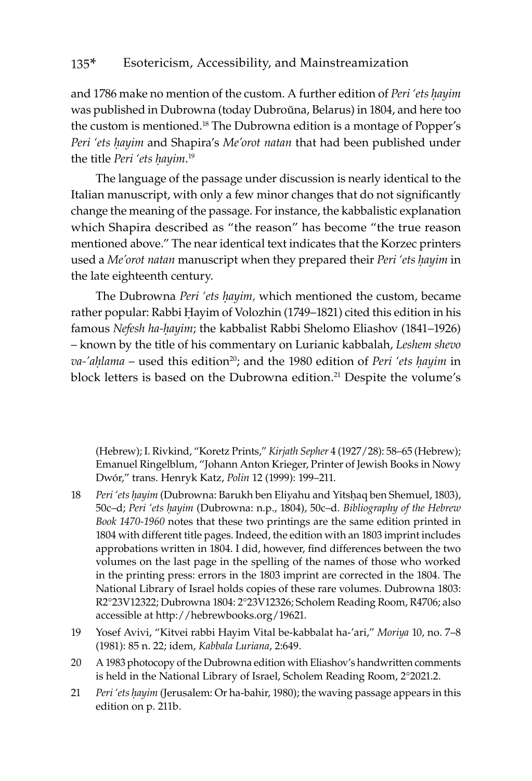and 1786 make no mention of the custom. A further edition of *Peri 'ets ḥayim* was published in Dubrowna (today Dubroŭna, Belarus) in 1804, and here too the custom is mentioned.18 The Dubrowna edition is a montage of Popper's *Peri 'ets ḥayim* and Shapira's *Me'orot natan* that had been published under the title *Peri 'ets ḥayim*. 19

The language of the passage under discussion is nearly identical to the Italian manuscript, with only a few minor changes that do not significantly change the meaning of the passage. For instance, the kabbalistic explanation which Shapira described as "the reason" has become "the true reason mentioned above." The near identical text indicates that the Korzec printers used a *Me'orot natan* manuscript when they prepared their *Peri 'ets ḥayim* in the late eighteenth century.

The Dubrowna *Peri 'ets ḥayim,* which mentioned the custom, became rather popular: Rabbi Ḥayim of Volozhin (1749–1821) cited this edition in his famous *Nefesh ha-ḥayim*; the kabbalist Rabbi Shelomo Eliashov (1841–1926) – known by the title of his commentary on Lurianic kabbalah, *Leshem shevo va-'aḥlama* – used this edition<sup>20</sup>; and the 1980 edition of *Peri 'ets hayim* in block letters is based on the Dubrowna edition.<sup>21</sup> Despite the volume's

(Hebrew); I. Rivkind, "Koretz Prints," *Kirjath Sepher* 4 (1927/28): 58–65 (Hebrew); Emanuel Ringelblum, "Johann Anton Krieger, Printer of Jewish Books in Nowy Dwór," trans. Henryk Katz, *Polin* 12 (1999): 199–211.

- 18 *Peri 'ets ḥayim* (Dubrowna: Barukh ben Eliyahu and Yitsḥaq ben Shemuel, 1803), 50c–d; *Peri 'ets ḥayim* (Dubrowna: n.p., 1804), 50c–d. *Bibliography of the Hebrew Book 1470-1960* notes that these two printings are the same edition printed in 1804 with different title pages. Indeed, the edition with an 1803 imprint includes approbations written in 1804. I did, however, find differences between the two volumes on the last page in the spelling of the names of those who worked in the printing press: errors in the 1803 imprint are corrected in the 1804. The National Library of Israel holds copies of these rare volumes. Dubrowna 1803: R2°23V12322; Dubrowna 1804: 2°23V12326; Scholem Reading Room, R4706; also accessible at http://hebrewbooks.org/19621.
- 19 Yosef Avivi, "Kitvei rabbi Hayim Vital be-kabbalat ha-'ari," *Moriya* 10, no. 7–8 (1981): 85 n. 22; idem, *Kabbala Luriana*, 2:649.
- 20 A 1983 photocopy of the Dubrowna edition with Eliashov's handwritten comments is held in the National Library of Israel, Scholem Reading Room, 2°2021.2.
- 21 *Peri 'ets ḥayim* (Jerusalem: Or ha-bahir, 1980); the waving passage appears in this edition on p. 211b.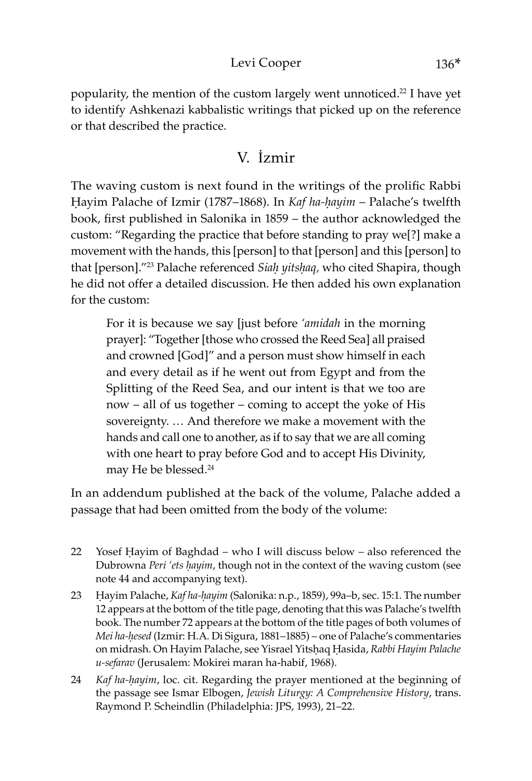#### Levi Cooper 136\*

popularity, the mention of the custom largely went unnoticed.<sup>22</sup> I have yet to identify Ashkenazi kabbalistic writings that picked up on the reference or that described the practice.

# V. İzmir

The waving custom is next found in the writings of the prolific Rabbi Ḥayim Palache of Izmir (1787–1868). In *Kaf ha-ḥayim* – Palache's twelfth book, first published in Salonika in 1859 – the author acknowledged the custom: "Regarding the practice that before standing to pray we[?] make a movement with the hands, this [person] to that [person] and this [person] to that [person]."23 Palache referenced *Siaḥ yitsḥaq,* who cited Shapira, though he did not offer a detailed discussion. He then added his own explanation for the custom:

For it is because we say [just before *'amidah* in the morning prayer]: "Together [those who crossed the Reed Sea] all praised and crowned [God]" and a person must show himself in each and every detail as if he went out from Egypt and from the Splitting of the Reed Sea, and our intent is that we too are now – all of us together – coming to accept the yoke of His sovereignty. … And therefore we make a movement with the hands and call one to another, as if to say that we are all coming with one heart to pray before God and to accept His Divinity, may He be blessed.24

In an addendum published at the back of the volume, Palache added a passage that had been omitted from the body of the volume:

- 22 Yosef Ḥayim of Baghdad who I will discuss below also referenced the Dubrowna *Peri 'ets ḥayim*, though not in the context of the waving custom (see note 44 and accompanying text).
- 23 Ḥayim Palache, *Kaf ha-ḥayim* (Salonika: n.p., 1859), 99a–b, sec. 15:1. The number 12 appears at the bottom of the title page, denoting that this was Palache's twelfth book. The number 72 appears at the bottom of the title pages of both volumes of *Mei ha-ḥesed* (Izmir: H.A. Di Sigura, 1881–1885) – one of Palache's commentaries on midrash. On Hayim Palache, see Yisrael Yitsḥaq Ḥasida, *Rabbi Hayim Palache u-sefarav* (Jerusalem: Mokirei maran ha-habif, 1968).
- 24 *Kaf ha-ḥayim*, loc. cit. Regarding the prayer mentioned at the beginning of the passage see Ismar Elbogen, *Jewish Liturgy: A Comprehensive History*, trans. Raymond P. Scheindlin (Philadelphia: JPS, 1993), 21–22.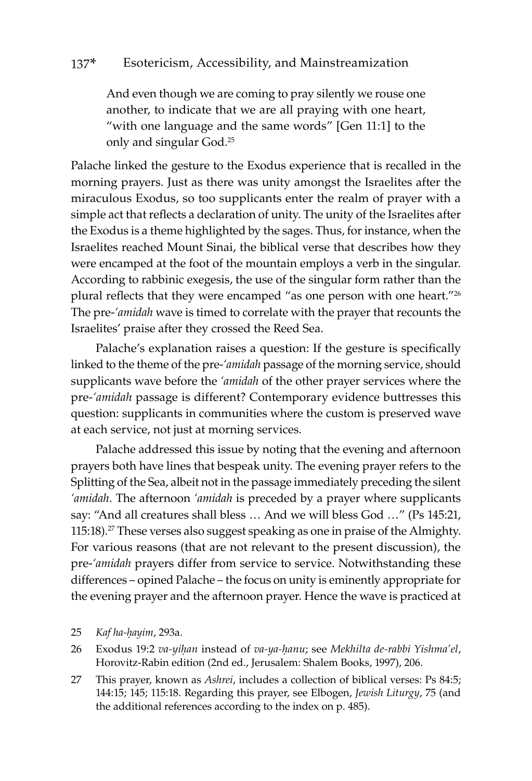And even though we are coming to pray silently we rouse one another, to indicate that we are all praying with one heart, "with one language and the same words" [Gen 11:1] to the only and singular God.25

Palache linked the gesture to the Exodus experience that is recalled in the morning prayers. Just as there was unity amongst the Israelites after the miraculous Exodus, so too supplicants enter the realm of prayer with a simple act that reflects a declaration of unity. The unity of the Israelites after the Exodus is a theme highlighted by the sages. Thus, for instance, when the Israelites reached Mount Sinai, the biblical verse that describes how they were encamped at the foot of the mountain employs a verb in the singular. According to rabbinic exegesis, the use of the singular form rather than the plural reflects that they were encamped "as one person with one heart."<sup>26</sup> The pre-*'amidah* wave is timed to correlate with the prayer that recounts the Israelites' praise after they crossed the Reed Sea.

Palache's explanation raises a question: If the gesture is specifically linked to the theme of the pre-*'amidah* passage of the morning service, should supplicants wave before the *'amidah* of the other prayer services where the pre-*'amidah* passage is different? Contemporary evidence buttresses this question: supplicants in communities where the custom is preserved wave at each service, not just at morning services.

Palache addressed this issue by noting that the evening and afternoon prayers both have lines that bespeak unity. The evening prayer refers to the Splitting of the Sea, albeit not in the passage immediately preceding the silent *'amidah*. The afternoon *'amidah* is preceded by a prayer where supplicants say: "And all creatures shall bless … And we will bless God …" (Ps 145:21, 115:18).<sup>27</sup> These verses also suggest speaking as one in praise of the Almighty. For various reasons (that are not relevant to the present discussion), the pre-*'amidah* prayers differ from service to service. Notwithstanding these differences – opined Palache – the focus on unity is eminently appropriate for the evening prayer and the afternoon prayer. Hence the wave is practiced at

#### 25 *Kaf ha-ḥayim*, 293a.

- 26 Exodus 19:2 *va-yiḥan* instead of *va-ya-ḥanu*; see *Mekhilta de-rabbi Yishma'el*, Horovitz-Rabin edition (2nd ed., Jerusalem: Shalem Books, 1997), 206.
- 27 This prayer, known as *Ashrei*, includes a collection of biblical verses: Ps 84:5; 144:15; 145; 115:18. Regarding this prayer, see Elbogen, *Jewish Liturgy*, 75 (and the additional references according to the index on p. 485).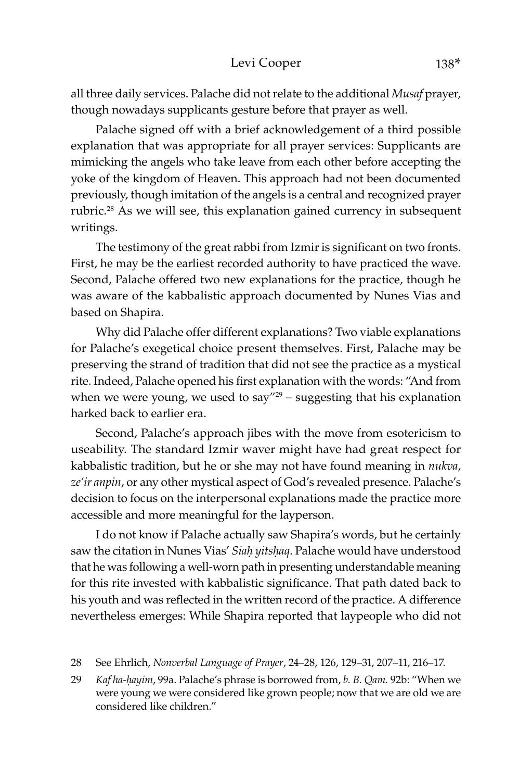#### Levi Cooper 138\*

all three daily services. Palache did not relate to the additional *Musaf* prayer, though nowadays supplicants gesture before that prayer as well.

Palache signed off with a brief acknowledgement of a third possible explanation that was appropriate for all prayer services: Supplicants are mimicking the angels who take leave from each other before accepting the yoke of the kingdom of Heaven. This approach had not been documented previously, though imitation of the angels is a central and recognized prayer rubric.<sup>28</sup> As we will see, this explanation gained currency in subsequent writings.

The testimony of the great rabbi from Izmir is significant on two fronts. First, he may be the earliest recorded authority to have practiced the wave. Second, Palache offered two new explanations for the practice, though he was aware of the kabbalistic approach documented by Nunes Vias and based on Shapira.

Why did Palache offer different explanations? Two viable explanations for Palache's exegetical choice present themselves. First, Palache may be preserving the strand of tradition that did not see the practice as a mystical rite. Indeed, Palache opened his first explanation with the words: "And from when we were young, we used to say"<sup>29</sup> – suggesting that his explanation harked back to earlier era.

Second, Palache's approach jibes with the move from esotericism to useability. The standard Izmir waver might have had great respect for kabbalistic tradition, but he or she may not have found meaning in *nukva*, *ze'ir anpin*, or any other mystical aspect of God's revealed presence. Palache's decision to focus on the interpersonal explanations made the practice more accessible and more meaningful for the layperson.

I do not know if Palache actually saw Shapira's words, but he certainly saw the citation in Nunes Vias' *Siaḥ yitsḥaq*. Palache would have understood that he was following a well-worn path in presenting understandable meaning for this rite invested with kabbalistic significance. That path dated back to his youth and was reflected in the written record of the practice. A difference nevertheless emerges: While Shapira reported that laypeople who did not

- 28 See Ehrlich, *Nonverbal Language of Prayer*, 24–28, 126, 129–31, 207–11, 216–17.
- 29 *Kaf ha-ḥayim*, 99a. Palache's phrase is borrowed from, *b. B. Qam.* 92b: "When we were young we were considered like grown people; now that we are old we are considered like children."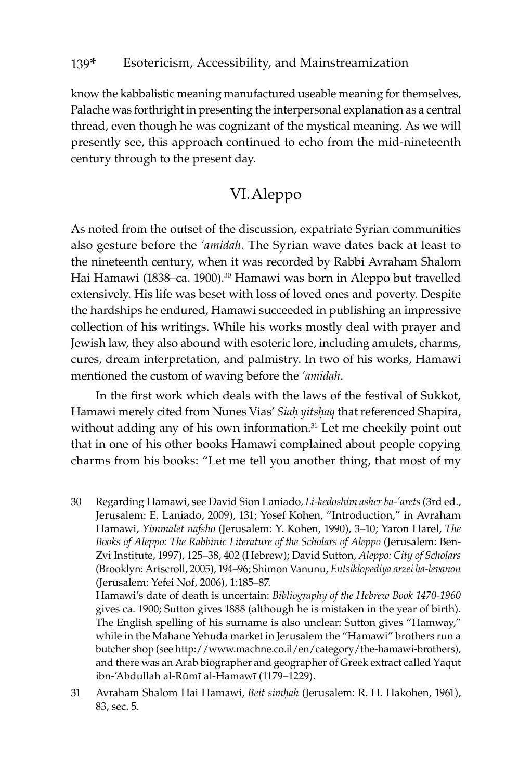know the kabbalistic meaning manufactured useable meaning for themselves, Palache was forthright in presenting the interpersonal explanation as a central thread, even though he was cognizant of the mystical meaning. As we will presently see, this approach continued to echo from the mid-nineteenth century through to the present day.

## VI.Aleppo

As noted from the outset of the discussion, expatriate Syrian communities also gesture before the *'amidah*. The Syrian wave dates back at least to the nineteenth century, when it was recorded by Rabbi Avraham Shalom Hai Hamawi (1838–ca. 1900).<sup>30</sup> Hamawi was born in Aleppo but travelled extensively. His life was beset with loss of loved ones and poverty. Despite the hardships he endured, Hamawi succeeded in publishing an impressive collection of his writings. While his works mostly deal with prayer and Jewish law, they also abound with esoteric lore, including amulets, charms, cures, dream interpretation, and palmistry. In two of his works, Hamawi mentioned the custom of waving before the *'amidah*.

In the first work which deals with the laws of the festival of Sukkot, Hamawi merely cited from Nunes Vias' *Siaḥ yitsḥaq* that referenced Shapira, without adding any of his own information.<sup>31</sup> Let me cheekily point out that in one of his other books Hamawi complained about people copying charms from his books: "Let me tell you another thing, that most of my

30 Regarding Hamawi, see David Sion Laniado*, Li-kedoshim asher ba-'arets* (3rd ed., Jerusalem: E. Laniado, 2009), 131; Yosef Kohen, "Introduction," in Avraham Hamawi, *Yimmalet nafsho* (Jerusalem: Y. Kohen, 1990), 3–10; Yaron Harel, *The Books of Aleppo: The Rabbinic Literature of the Scholars of Aleppo* (Jerusalem: Ben-Zvi Institute, 1997), 125–38, 402 (Hebrew); David Sutton, *Aleppo: City of Scholars* (Brooklyn: Artscroll, 2005), 194–96; Shimon Vanunu, *Entsiklopediya arzei ha-levanon* (Jerusalem: Yefei Nof, 2006), 1:185–87. Hamawi's date of death is uncertain: *Bibliography of the Hebrew Book 1470-1960* gives ca. 1900; Sutton gives 1888 (although he is mistaken in the year of birth). The English spelling of his surname is also unclear: Sutton gives "Hamway,"

while in the Mahane Yehuda market in Jerusalem the "Hamawi" brothers run a butcher shop (see http://www.machne.co.il/en/category/the-hamawi-brothers), and there was an Arab biographer and geographer of Greek extract called Yāqūt ibn-'Abdullah al-Rūmī al-Hamawī (1179–1229).

31 Avraham Shalom Hai Hamawi, *Beit simḥah* (Jerusalem: R. H. Hakohen, 1961), 83, sec. 5.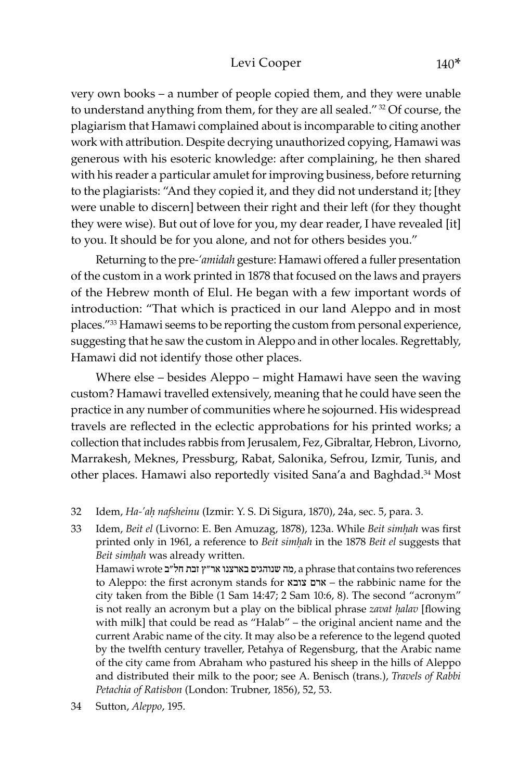#### Levi Cooper 140\*

very own books – a number of people copied them, and they were unable to understand anything from them, for they are all sealed." 32 Of course, the plagiarism that Hamawi complained about is incomparable to citing another work with attribution. Despite decrying unauthorized copying, Hamawi was generous with his esoteric knowledge: after complaining, he then shared with his reader a particular amulet for improving business, before returning to the plagiarists: "And they copied it, and they did not understand it; [they were unable to discern] between their right and their left (for they thought they were wise). But out of love for you, my dear reader, I have revealed [it] to you. It should be for you alone, and not for others besides you."

Returning to the pre*-'amidah* gesture: Hamawi offered a fuller presentation of the custom in a work printed in 1878 that focused on the laws and prayers of the Hebrew month of Elul. He began with a few important words of introduction: "That which is practiced in our land Aleppo and in most places."33 Hamawi seems to be reporting the custom from personal experience, suggesting that he saw the custom in Aleppo and in other locales. Regrettably, Hamawi did not identify those other places.

Where else – besides Aleppo – might Hamawi have seen the waving custom? Hamawi travelled extensively, meaning that he could have seen the practice in any number of communities where he sojourned. His widespread travels are reflected in the eclectic approbations for his printed works; a collection that includes rabbis from Jerusalem, Fez, Gibraltar, Hebron, Livorno, Marrakesh, Meknes, Pressburg, Rabat, Salonika, Sefrou, Izmir, Tunis, and other places. Hamawi also reportedly visited Sana'a and Baghdad.<sup>34</sup> Most

32 Idem, *Ha-'aḥ nafsheinu* (Izmir: Y. S. Di Sigura, 1870), 24a, sec. 5, para. 3.

33 Idem, *Beit el* (Livorno: E. Ben Amuzag, 1878), 123a. While *Beit simḥah* was first printed only in 1961, a reference to *Beit simḥah* in the 1878 *Beit el* suggests that *Beit simḥah* was already written.

Hamawi wrote המה שנוהגים בארצנו אר"ץ זבת חל"ב Hamawi wrote המה שנוהגים בארצנו אר to Aleppo: the first acronym stands for צובא ארם – the rabbinic name for the city taken from the Bible (1 Sam 14:47; 2 Sam 10:6, 8). The second "acronym" is not really an acronym but a play on the biblical phrase *zavat ḥalav* [flowing with milk] that could be read as "Halab" – the original ancient name and the current Arabic name of the city. It may also be a reference to the legend quoted by the twelfth century traveller, Petahya of Regensburg, that the Arabic name of the city came from Abraham who pastured his sheep in the hills of Aleppo and distributed their milk to the poor; see A. Benisch (trans.), *Travels of Rabbi Petachia of Ratisbon* (London: Trubner, 1856), 52, 53.

34 Sutton, *Aleppo*, 195.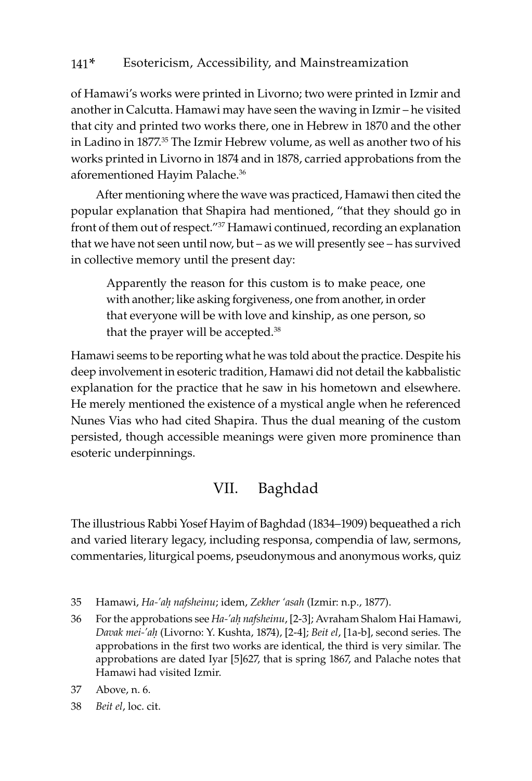of Hamawi's works were printed in Livorno; two were printed in Izmir and another in Calcutta. Hamawi may have seen the waving in Izmir – he visited that city and printed two works there, one in Hebrew in 1870 and the other in Ladino in 1877.35 The Izmir Hebrew volume, as well as another two of his works printed in Livorno in 1874 and in 1878, carried approbations from the aforementioned Hayim Palache.36

After mentioning where the wave was practiced, Hamawi then cited the popular explanation that Shapira had mentioned, "that they should go in front of them out of respect."37 Hamawi continued, recording an explanation that we have not seen until now, but – as we will presently see – has survived in collective memory until the present day:

Apparently the reason for this custom is to make peace, one with another; like asking forgiveness, one from another, in order that everyone will be with love and kinship, as one person, so that the prayer will be accepted.<sup>38</sup>

Hamawi seems to be reporting what he was told about the practice. Despite his deep involvement in esoteric tradition, Hamawi did not detail the kabbalistic explanation for the practice that he saw in his hometown and elsewhere. He merely mentioned the existence of a mystical angle when he referenced Nunes Vias who had cited Shapira. Thus the dual meaning of the custom persisted, though accessible meanings were given more prominence than esoteric underpinnings.

# VII. Baghdad

The illustrious Rabbi Yosef Hayim of Baghdad (1834–1909) bequeathed a rich and varied literary legacy, including responsa, compendia of law, sermons, commentaries, liturgical poems, pseudonymous and anonymous works, quiz

<sup>35</sup> Hamawi, *Ha-'aḥ nafsheinu*; idem, *Zekher 'asah* (Izmir: n.p., 1877).

<sup>36</sup> For the approbations see *Ha-'aḥ nafsheinu*, [2-3]; Avraham Shalom Hai Hamawi, *Davak mei-'aḥ* (Livorno: Y. Kushta, 1874), [2-4]; *Beit el*, [1a-b], second series. The approbations in the first two works are identical, the third is very similar. The approbations are dated Iyar [5]627, that is spring 1867, and Palache notes that Hamawi had visited Izmir.

<sup>37</sup> Above, n. 6.

<sup>38</sup> *Beit el*, loc. cit.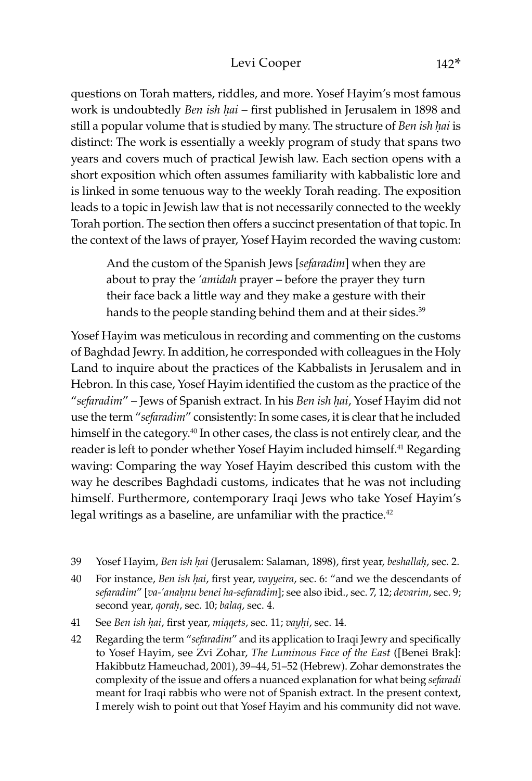#### Levi Cooper 142<sup>\*</sup>

questions on Torah matters, riddles, and more. Yosef Hayim's most famous work is undoubtedly *Ben ish hai* – first published in Jerusalem in 1898 and still a popular volume that is studied by many. The structure of *Ben ish hai* is distinct: The work is essentially a weekly program of study that spans two years and covers much of practical Jewish law. Each section opens with a short exposition which often assumes familiarity with kabbalistic lore and is linked in some tenuous way to the weekly Torah reading. The exposition leads to a topic in Jewish law that is not necessarily connected to the weekly Torah portion. The section then offers a succinct presentation of that topic. In the context of the laws of prayer, Yosef Hayim recorded the waving custom:

And the custom of the Spanish Jews [*sefaradim*] when they are about to pray the *'amidah* prayer – before the prayer they turn their face back a little way and they make a gesture with their hands to the people standing behind them and at their sides.<sup>39</sup>

Yosef Hayim was meticulous in recording and commenting on the customs of Baghdad Jewry. In addition, he corresponded with colleagues in the Holy Land to inquire about the practices of the Kabbalists in Jerusalem and in Hebron. In this case, Yosef Hayim identified the custom as the practice of the "*sefaradim*" – Jews of Spanish extract. In his *Ben ish ḥai*, Yosef Hayim did not use the term "*sefaradim*" consistently: In some cases, it is clear that he included himself in the category.<sup>40</sup> In other cases, the class is not entirely clear, and the reader is left to ponder whether Yosef Hayim included himself.<sup>41</sup> Regarding waving: Comparing the way Yosef Hayim described this custom with the way he describes Baghdadi customs, indicates that he was not including himself. Furthermore, contemporary Iraqi Jews who take Yosef Hayim's legal writings as a baseline, are unfamiliar with the practice.<sup>42</sup>

- 39 Yosef Hayim, *Ben ish ḥai* (Jerusalem: Salaman, 1898), first year, *beshallaḥ*, sec. 2.
- 40 For instance, *Ben ish ḥai*, first year, *vayyeira*, sec. 6: "and we the descendants of *sefaradim*" [*va-'anaḥnu benei ha-sefaradim*]; see also ibid., sec. 7, 12; *devarim*, sec. 9; second year, *qoraḥ*, sec. 10; *balaq*, sec. 4.
- 41 See *Ben ish ḥai*, first year, *miqqets*, sec. 11; *vayḥi*, sec. 14.
- 42 Regarding the term "*sefaradim*" and its application to Iraqi Jewry and specifically to Yosef Hayim, see Zvi Zohar, *The Luminous Face of the East* ([Benei Brak]: Hakibbutz Hameuchad, 2001), 39–44, 51–52 (Hebrew). Zohar demonstrates the complexity of the issue and offers a nuanced explanation for what being *sefaradi* meant for Iraqi rabbis who were not of Spanish extract. In the present context, I merely wish to point out that Yosef Hayim and his community did not wave.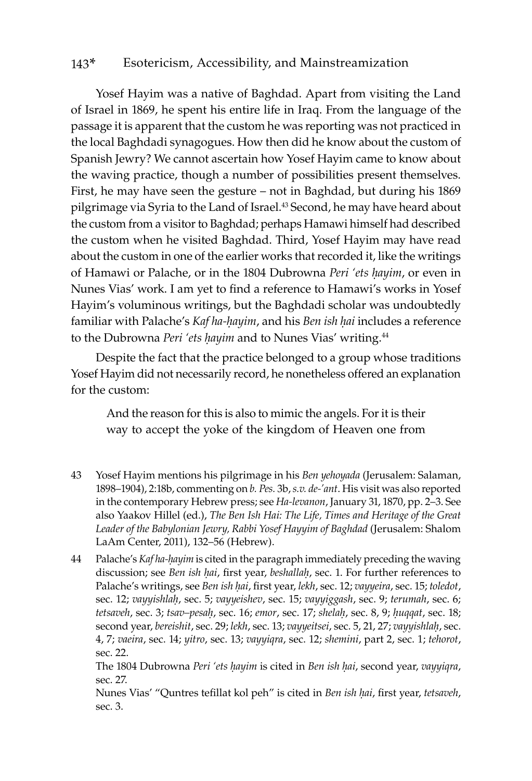Yosef Hayim was a native of Baghdad. Apart from visiting the Land of Israel in 1869, he spent his entire life in Iraq. From the language of the passage it is apparent that the custom he was reporting was not practiced in the local Baghdadi synagogues. How then did he know about the custom of Spanish Jewry? We cannot ascertain how Yosef Hayim came to know about the waving practice, though a number of possibilities present themselves. First, he may have seen the gesture – not in Baghdad, but during his 1869 pilgrimage via Syria to the Land of Israel.<sup>43</sup> Second, he may have heard about the custom from a visitor to Baghdad; perhaps Hamawi himself had described the custom when he visited Baghdad. Third, Yosef Hayim may have read about the custom in one of the earlier works that recorded it, like the writings of Hamawi or Palache, or in the 1804 Dubrowna *Peri 'ets ḥayim*, or even in Nunes Vias' work. I am yet to find a reference to Hamawi's works in Yosef Hayim's voluminous writings, but the Baghdadi scholar was undoubtedly familiar with Palache's *Kaf ha-ḥayim*, and his *Ben ish ḥai* includes a reference to the Dubrowna *Peri 'ets ḥayim* and to Nunes Vias' writing.44

Despite the fact that the practice belonged to a group whose traditions Yosef Hayim did not necessarily record, he nonetheless offered an explanation for the custom:

And the reason for this is also to mimic the angels. For it is their way to accept the yoke of the kingdom of Heaven one from

- 43 Yosef Hayim mentions his pilgrimage in his *Ben yehoyada* (Jerusalem: Salaman, 1898–1904), 2:18b, commenting on *b. Pes.* 3b, *s.v. de-'ant*. His visit was also reported in the contemporary Hebrew press; see *Ha-levanon*, January 31, 1870, pp. 2–3. See also Yaakov Hillel (ed.), *The Ben Ish Hai: The Life, Times and Heritage of the Great Leader of the Babylonian Jewry, Rabbi Yosef Hayyim of Baghdad* (Jerusalem: Shalom LaAm Center, 2011), 132–56 (Hebrew).
- 44 Palache's *Kaf ha-ḥayim* is cited in the paragraph immediately preceding the waving discussion; see *Ben ish ḥai*, first year, *beshallaḥ*, sec. 1. For further references to Palache's writings, see *Ben ish ḥai*, first year, *lekh*, sec. 12; *vayyeira*, sec. 15; *toledot*, sec. 12; *vayyishlaḥ*, sec. 5; *vayyeishev*, sec. 15; *vayyiggash*, sec. 9; *terumah*, sec. 6; *tetsaveh*, sec. 3; *tsav–pesaḥ*, sec. 16; *emor*, sec. 17; *shelaḥ*, sec. 8, 9; *ḥuqqat*, sec. 18; second year, *bereishit*, sec. 29; *lekh*, sec. 13; *vayyeitsei*, sec. 5, 21, 27; *vayyishlaḥ*, sec. 4, 7; *vaeira*, sec. 14; *yitro*, sec. 13; *vayyiqra*, sec. 12; *shemini*, part 2, sec. 1; *tehorot*, sec. 22.

The 1804 Dubrowna *Peri 'ets ḥayim* is cited in *Ben ish ḥai*, second year, *vayyiqra*, sec. 27.

Nunes Vias' "Quntres tefillat kol peh" is cited in *Ben ish ḥai*, first year, *tetsaveh*, sec. 3.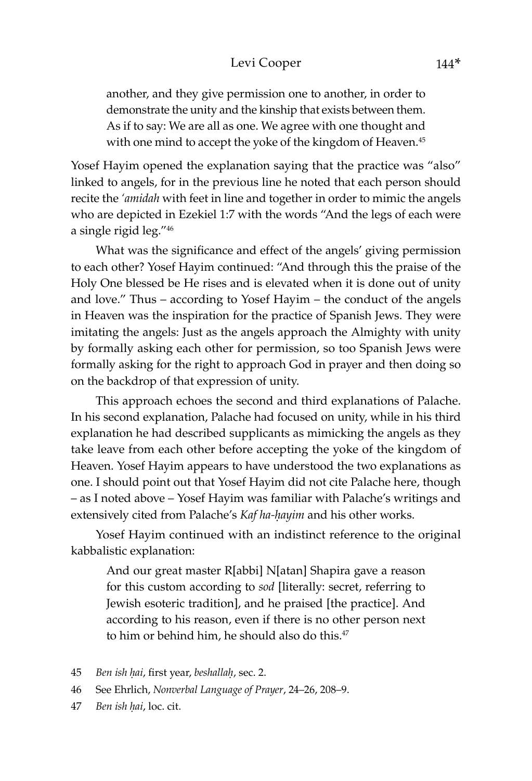another, and they give permission one to another, in order to demonstrate the unity and the kinship that exists between them. As if to say: We are all as one. We agree with one thought and with one mind to accept the yoke of the kingdom of Heaven.<sup>45</sup>

Yosef Hayim opened the explanation saying that the practice was "also" linked to angels, for in the previous line he noted that each person should recite the *'amidah* with feet in line and together in order to mimic the angels who are depicted in Ezekiel 1:7 with the words "And the legs of each were a single rigid leg."46

What was the significance and effect of the angels' giving permission to each other? Yosef Hayim continued: "And through this the praise of the Holy One blessed be He rises and is elevated when it is done out of unity and love." Thus – according to Yosef Hayim – the conduct of the angels in Heaven was the inspiration for the practice of Spanish Jews. They were imitating the angels: Just as the angels approach the Almighty with unity by formally asking each other for permission, so too Spanish Jews were formally asking for the right to approach God in prayer and then doing so on the backdrop of that expression of unity.

This approach echoes the second and third explanations of Palache. In his second explanation, Palache had focused on unity, while in his third explanation he had described supplicants as mimicking the angels as they take leave from each other before accepting the yoke of the kingdom of Heaven. Yosef Hayim appears to have understood the two explanations as one. I should point out that Yosef Hayim did not cite Palache here, though – as I noted above – Yosef Hayim was familiar with Palache's writings and extensively cited from Palache's *Kaf ha-ḥayim* and his other works.

Yosef Hayim continued with an indistinct reference to the original kabbalistic explanation:

And our great master R[abbi] N[atan] Shapira gave a reason for this custom according to *sod* [literally: secret, referring to Jewish esoteric tradition], and he praised [the practice]. And according to his reason, even if there is no other person next to him or behind him, he should also do this.<sup>47</sup>

- 45 *Ben ish ḥai*, first year, *beshallaḥ*, sec. 2.
- 46 See Ehrlich, *Nonverbal Language of Prayer*, 24–26, 208–9.
- 47 *Ben ish ḥai*, loc. cit.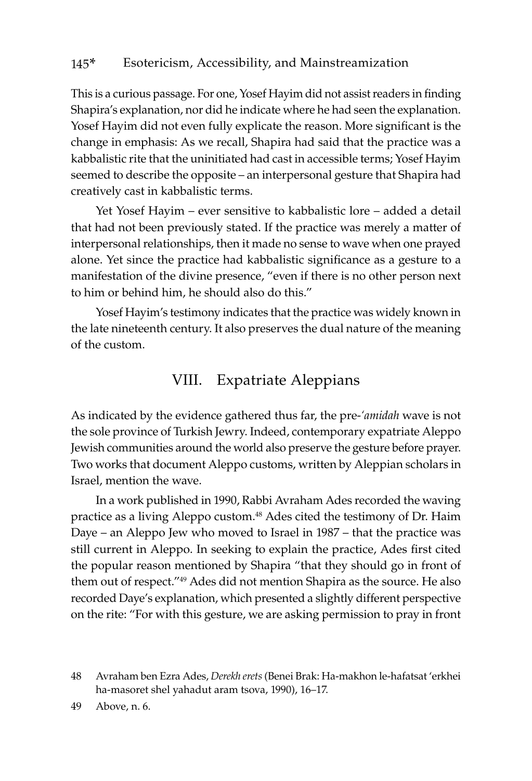This is a curious passage. For one, Yosef Hayim did not assist readers in finding Shapira's explanation, nor did he indicate where he had seen the explanation. Yosef Hayim did not even fully explicate the reason. More significant is the change in emphasis: As we recall, Shapira had said that the practice was a kabbalistic rite that the uninitiated had cast in accessible terms; Yosef Hayim seemed to describe the opposite – an interpersonal gesture that Shapira had creatively cast in kabbalistic terms.

Yet Yosef Hayim – ever sensitive to kabbalistic lore – added a detail that had not been previously stated. If the practice was merely a matter of interpersonal relationships, then it made no sense to wave when one prayed alone. Yet since the practice had kabbalistic significance as a gesture to a manifestation of the divine presence, "even if there is no other person next to him or behind him, he should also do this."

Yosef Hayim's testimony indicates that the practice was widely known in the late nineteenth century. It also preserves the dual nature of the meaning of the custom.

## VIII. Expatriate Aleppians

As indicated by the evidence gathered thus far, the pre-*'amidah* wave is not the sole province of Turkish Jewry. Indeed, contemporary expatriate Aleppo Jewish communities around the world also preserve the gesture before prayer. Two works that document Aleppo customs, written by Aleppian scholars in Israel, mention the wave.

In a work published in 1990, Rabbi Avraham Ades recorded the waving practice as a living Aleppo custom.48 Ades cited the testimony of Dr. Haim Daye – an Aleppo Jew who moved to Israel in 1987 – that the practice was still current in Aleppo. In seeking to explain the practice, Ades first cited the popular reason mentioned by Shapira "that they should go in front of them out of respect."49 Ades did not mention Shapira as the source. He also recorded Daye's explanation, which presented a slightly different perspective on the rite: "For with this gesture, we are asking permission to pray in front

49 Above, n. 6.

<sup>48</sup> Avraham ben Ezra Ades, *Derekh erets* (Benei Brak: Ha-makhon le-hafatsat 'erkhei ha-masoret shel yahadut aram tsova, 1990), 16–17.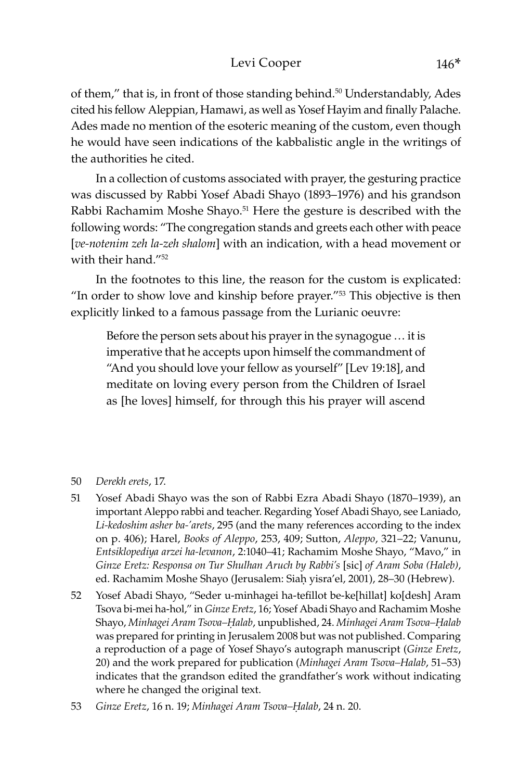#### Levi Cooper 146\*

of them," that is, in front of those standing behind.<sup>50</sup> Understandably, Ades cited his fellow Aleppian, Hamawi, as well as Yosef Hayim and finally Palache. Ades made no mention of the esoteric meaning of the custom, even though he would have seen indications of the kabbalistic angle in the writings of the authorities he cited.

In a collection of customs associated with prayer, the gesturing practice was discussed by Rabbi Yosef Abadi Shayo (1893–1976) and his grandson Rabbi Rachamim Moshe Shayo.<sup>51</sup> Here the gesture is described with the following words: "The congregation stands and greets each other with peace [*ve-notenim zeh la-zeh shalom*] with an indication, with a head movement or with their hand<sup>"52</sup>

In the footnotes to this line, the reason for the custom is explicated: "In order to show love and kinship before prayer."53 This objective is then explicitly linked to a famous passage from the Lurianic oeuvre:

Before the person sets about his prayer in the synagogue … it is imperative that he accepts upon himself the commandment of "And you should love your fellow as yourself" [Lev 19:18], and meditate on loving every person from the Children of Israel as [he loves] himself, for through this his prayer will ascend

#### 50 *Derekh erets*, 17.

- 51 Yosef Abadi Shayo was the son of Rabbi Ezra Abadi Shayo (1870–1939), an important Aleppo rabbi and teacher. Regarding Yosef Abadi Shayo, see Laniado, *Li-kedoshim asher ba-'arets*, 295 (and the many references according to the index on p. 406); Harel, *Books of Aleppo*, 253, 409; Sutton, *Aleppo*, 321–22; Vanunu, *Entsiklopediya arzei ha-levanon*, 2:1040–41; Rachamim Moshe Shayo, "Mavo," in *Ginze Eretz: Responsa on Tur Shulhan Aruch by Rabbi's* [sic] *of Aram Soba (Haleb)*, ed. Rachamim Moshe Shayo (Jerusalem: Siaḥ yisra'el, 2001), 28–30 (Hebrew).
- 52 Yosef Abadi Shayo, "Seder u-minhagei ha-tefillot be-ke[hillat] ko[desh] Aram Tsova bi-mei ha-hol," in *Ginze Eretz*, 16; Yosef Abadi Shayo and Rachamim Moshe Shayo, *Minhagei Aram Tsova–Ḥalab*, unpublished, 24. *Minhagei Aram Tsova–Ḥalab* was prepared for printing in Jerusalem 2008 but was not published. Comparing a reproduction of a page of Yosef Shayo's autograph manuscript (*Ginze Eretz*, 20) and the work prepared for publication (*Minhagei Aram Tsova–Halab*, 51–53) indicates that the grandson edited the grandfather's work without indicating where he changed the original text.
- 53 *Ginze Eretz*, 16 n. 19; *Minhagei Aram Tsova–Ḥalab*, 24 n. 20.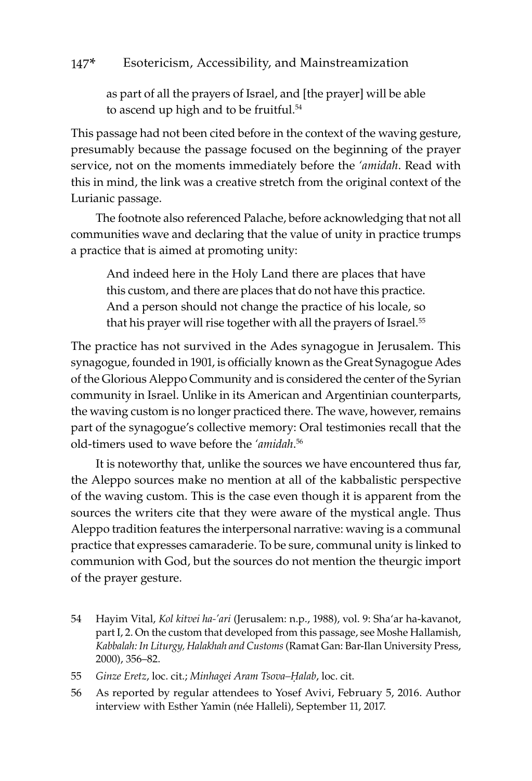as part of all the prayers of Israel, and [the prayer] will be able to ascend up high and to be fruitful.<sup>54</sup>

This passage had not been cited before in the context of the waving gesture, presumably because the passage focused on the beginning of the prayer service, not on the moments immediately before the *'amidah*. Read with this in mind, the link was a creative stretch from the original context of the Lurianic passage.

The footnote also referenced Palache, before acknowledging that not all communities wave and declaring that the value of unity in practice trumps a practice that is aimed at promoting unity:

And indeed here in the Holy Land there are places that have this custom, and there are places that do not have this practice. And a person should not change the practice of his locale, so that his prayer will rise together with all the prayers of Israel.<sup>55</sup>

The practice has not survived in the Ades synagogue in Jerusalem. This synagogue, founded in 1901, is officially known as the Great Synagogue Ades of the Glorious Aleppo Community and is considered the center of the Syrian community in Israel. Unlike in its American and Argentinian counterparts, the waving custom is no longer practiced there. The wave, however, remains part of the synagogue's collective memory: Oral testimonies recall that the old-timers used to wave before the *'amidah*. 56

It is noteworthy that, unlike the sources we have encountered thus far, the Aleppo sources make no mention at all of the kabbalistic perspective of the waving custom. This is the case even though it is apparent from the sources the writers cite that they were aware of the mystical angle. Thus Aleppo tradition features the interpersonal narrative: waving is a communal practice that expresses camaraderie. To be sure, communal unity is linked to communion with God, but the sources do not mention the theurgic import of the prayer gesture.

54 Hayim Vital, *Kol kitvei ha-'ari* (Jerusalem: n.p., 1988), vol. 9: Sha'ar ha-kavanot, part I, 2. On the custom that developed from this passage, see Moshe Hallamish, *Kabbalah: In Liturgy, Halakhah and Customs* (Ramat Gan: Bar-Ilan University Press, 2000), 356–82.

55 *Ginze Eretz*, loc. cit.; *Minhagei Aram Tsova–Ḥalab*, loc. cit.

56 As reported by regular attendees to Yosef Avivi, February 5, 2016. Author interview with Esther Yamin (née Halleli), September 11, 2017.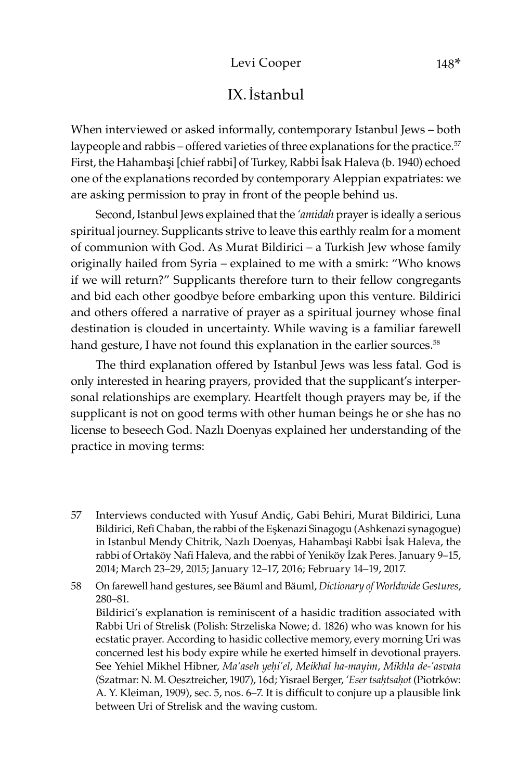# IX.İstanbul

When interviewed or asked informally, contemporary Istanbul Jews – both laypeople and rabbis – offered varieties of three explanations for the practice.<sup>57</sup> First, the Hahambaşi [chief rabbi] of Turkey, Rabbi İsak Haleva (b. 1940) echoed one of the explanations recorded by contemporary Aleppian expatriates: we are asking permission to pray in front of the people behind us.

Second, Istanbul Jews explained that the *'amidah* prayer is ideally a serious spiritual journey. Supplicants strive to leave this earthly realm for a moment of communion with God. As Murat Bildirici – a Turkish Jew whose family originally hailed from Syria – explained to me with a smirk: "Who knows if we will return?" Supplicants therefore turn to their fellow congregants and bid each other goodbye before embarking upon this venture. Bildirici and others offered a narrative of prayer as a spiritual journey whose final destination is clouded in uncertainty. While waving is a familiar farewell hand gesture, I have not found this explanation in the earlier sources.<sup>58</sup>

The third explanation offered by Istanbul Jews was less fatal. God is only interested in hearing prayers, provided that the supplicant's interpersonal relationships are exemplary. Heartfelt though prayers may be, if the supplicant is not on good terms with other human beings he or she has no license to beseech God. Nazlı Doenyas explained her understanding of the practice in moving terms:

57 Interviews conducted with Yusuf Andiç, Gabi Behiri, Murat Bildirici, Luna Bildirici, Refi Chaban, the rabbi of the Eşkenazi Sinagogu (Ashkenazi synagogue) in Istanbul Mendy Chitrik, Nazlı Doenyas, Hahambaşi Rabbi İsak Haleva, the rabbi of Ortaköy Nafi Haleva, and the rabbi of Yeniköy İzak Peres. January 9–15, 2014; March 23–29, 2015; January 12–17, 2016; February 14–19, 2017.

58 On farewell hand gestures, see Bäuml and Bäuml, *Dictionary of Worldwide Gestures*, 280–81.

Bildirici's explanation is reminiscent of a hasidic tradition associated with Rabbi Uri of Strelisk (Polish: Strzeliska Nowe; d. 1826) who was known for his ecstatic prayer. According to hasidic collective memory, every morning Uri was concerned lest his body expire while he exerted himself in devotional prayers. See Yehiel Mikhel Hibner, *Ma'aseh yeḥi'el*, *Meikhal ha-mayim*, *Mikhla de-'asvata* (Szatmar: N. M. Oesztreicher, 1907), 16d; Yisrael Berger, *'Eser tsaêtsaêot* (Piotrków: A. Y. Kleiman, 1909), sec. 5, nos. 6–7. It is difficult to conjure up a plausible link between Uri of Strelisk and the waving custom.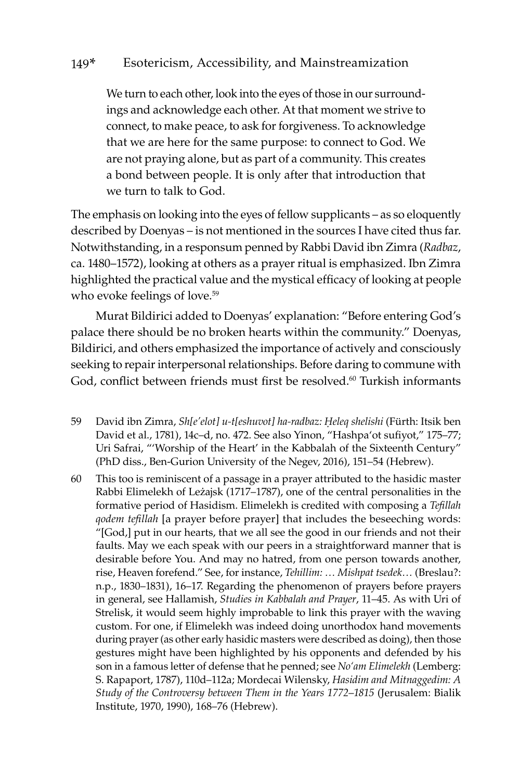We turn to each other, look into the eyes of those in our surroundings and acknowledge each other. At that moment we strive to connect, to make peace, to ask for forgiveness. To acknowledge that we are here for the same purpose: to connect to God. We are not praying alone, but as part of a community. This creates a bond between people. It is only after that introduction that we turn to talk to God.

The emphasis on looking into the eyes of fellow supplicants – as so eloquently described by Doenyas – is not mentioned in the sources I have cited thus far. Notwithstanding, in a responsum penned by Rabbi David ibn Zimra (*Radbaz*, ca. 1480–1572), looking at others as a prayer ritual is emphasized. Ibn Zimra highlighted the practical value and the mystical efficacy of looking at people who evoke feelings of love.<sup>59</sup>

Murat Bildirici added to Doenyas' explanation: "Before entering God's palace there should be no broken hearts within the community." Doenyas, Bildirici, and others emphasized the importance of actively and consciously seeking to repair interpersonal relationships. Before daring to commune with God, conflict between friends must first be resolved.<sup>60</sup> Turkish informants

- 59 David ibn Zimra, *Sh[e'elot] u-t[eshuvot] ha-radbaz: Ḥeleq shelishi* (Fürth: Itsik ben David et al., 1781), 14c–d, no. 472. See also Yinon, "Hashpa'ot sufiyot," 175–77; Uri Safrai, "'Worship of the Heart' in the Kabbalah of the Sixteenth Century" (PhD diss., Ben-Gurion University of the Negev, 2016), 151–54 (Hebrew).
- 60 This too is reminiscent of a passage in a prayer attributed to the hasidic master Rabbi Elimelekh of Leżajsk (1717–1787), one of the central personalities in the formative period of Hasidism. Elimelekh is credited with composing a *Tefillah qodem tefillah* [a prayer before prayer] that includes the beseeching words: "[God,] put in our hearts, that we all see the good in our friends and not their faults. May we each speak with our peers in a straightforward manner that is desirable before You. And may no hatred, from one person towards another, rise, Heaven forefend." See, for instance, *Tehillim: … Mishpat tsedek…* (Breslau?: n.p., 1830–1831), 16–17. Regarding the phenomenon of prayers before prayers in general, see Hallamish, *Studies in Kabbalah and Prayer*, 11–45. As with Uri of Strelisk, it would seem highly improbable to link this prayer with the waving custom. For one, if Elimelekh was indeed doing unorthodox hand movements during prayer (as other early hasidic masters were described as doing), then those gestures might have been highlighted by his opponents and defended by his son in a famous letter of defense that he penned; see *No'am Elimelekh* (Lemberg: S. Rapaport, 1787), 110d–112a; Mordecai Wilensky, *Hasidim and Mitnaggedim: A Study of the Controversy between Them in the Years 1772*–*1815* (Jerusalem: Bialik Institute, 1970, 1990), 168–76 (Hebrew).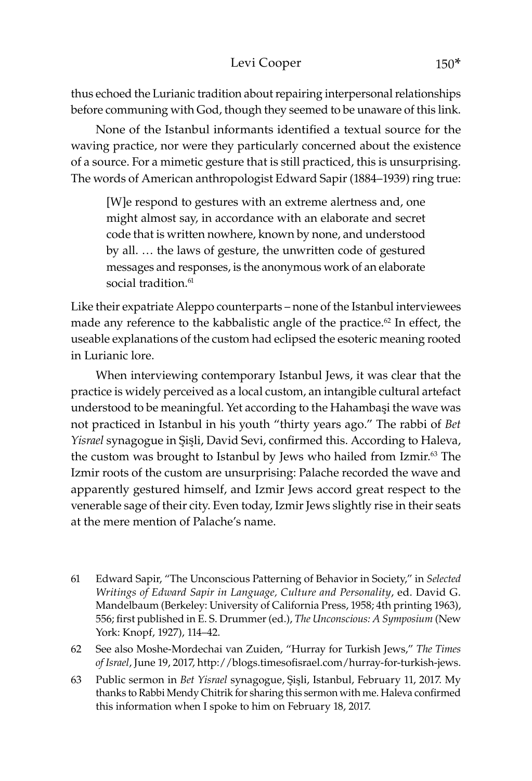thus echoed the Lurianic tradition about repairing interpersonal relationships before communing with God, though they seemed to be unaware of this link.

None of the Istanbul informants identified a textual source for the waving practice, nor were they particularly concerned about the existence of a source. For a mimetic gesture that is still practiced, this is unsurprising. The words of American anthropologist Edward Sapir (1884–1939) ring true:

[W]e respond to gestures with an extreme alertness and, one might almost say, in accordance with an elaborate and secret code that is written nowhere, known by none, and understood by all. … the laws of gesture, the unwritten code of gestured messages and responses, is the anonymous work of an elaborate social tradition.<sup>61</sup>

Like their expatriate Aleppo counterparts – none of the Istanbul interviewees made any reference to the kabbalistic angle of the practice.<sup>62</sup> In effect, the useable explanations of the custom had eclipsed the esoteric meaning rooted in Lurianic lore.

When interviewing contemporary Istanbul Jews, it was clear that the practice is widely perceived as a local custom, an intangible cultural artefact understood to be meaningful. Yet according to the Hahambasi the wave was not practiced in Istanbul in his youth "thirty years ago." The rabbi of *Bet Yisrael* synagogue in Sisli, David Sevi, confirmed this. According to Haleva, the custom was brought to Istanbul by Jews who hailed from Izmir.<sup>63</sup> The Izmir roots of the custom are unsurprising: Palache recorded the wave and apparently gestured himself, and Izmir Jews accord great respect to the venerable sage of their city. Even today, Izmir Jews slightly rise in their seats at the mere mention of Palache's name.

61 Edward Sapir, "The Unconscious Patterning of Behavior in Society," in *Selected Writings of Edward Sapir in Language, Culture and Personality*, ed. David G. Mandelbaum (Berkeley: University of California Press, 1958; 4th printing 1963), 556; first published in E. S. Drummer (ed.), *The Unconscious: A Symposium* (New York: Knopf, 1927), 114–42.

62 See also Moshe-Mordechai van Zuiden, "Hurray for Turkish Jews," *The Times of Israel*, June 19, 2017, http://blogs.timesofisrael.com/hurray-for-turkish-jews.

63 Public sermon in *Bet Yisrael* synagogue, Şişli, Istanbul, February 11, 2017. My thanks to Rabbi Mendy Chitrik for sharing this sermon with me. Haleva confirmed this information when I spoke to him on February 18, 2017.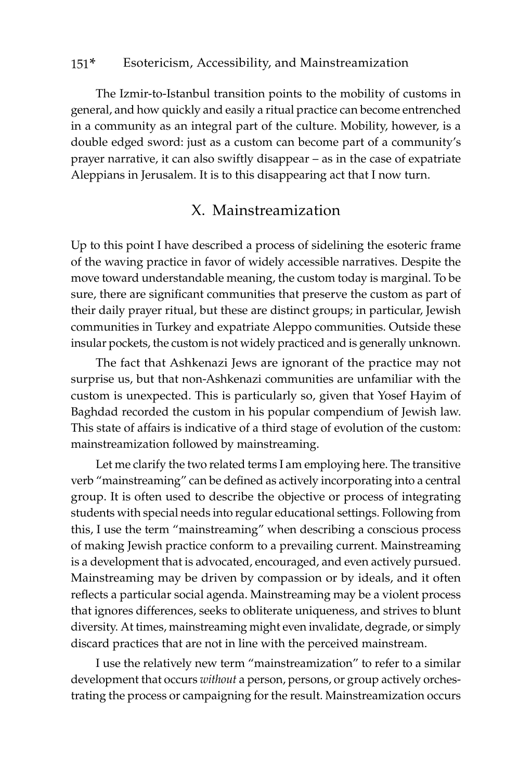The Izmir-to-Istanbul transition points to the mobility of customs in general, and how quickly and easily a ritual practice can become entrenched in a community as an integral part of the culture. Mobility, however, is a double edged sword: just as a custom can become part of a community's prayer narrative, it can also swiftly disappear – as in the case of expatriate Aleppians in Jerusalem. It is to this disappearing act that I now turn.

### X. Mainstreamization

Up to this point I have described a process of sidelining the esoteric frame of the waving practice in favor of widely accessible narratives. Despite the move toward understandable meaning, the custom today is marginal. To be sure, there are significant communities that preserve the custom as part of their daily prayer ritual, but these are distinct groups; in particular, Jewish communities in Turkey and expatriate Aleppo communities. Outside these insular pockets, the custom is not widely practiced and is generally unknown.

The fact that Ashkenazi Jews are ignorant of the practice may not surprise us, but that non-Ashkenazi communities are unfamiliar with the custom is unexpected. This is particularly so, given that Yosef Hayim of Baghdad recorded the custom in his popular compendium of Jewish law. This state of affairs is indicative of a third stage of evolution of the custom: mainstreamization followed by mainstreaming.

Let me clarify the two related terms I am employing here. The transitive verb "mainstreaming" can be defined as actively incorporating into a central group. It is often used to describe the objective or process of integrating students with special needs into regular educational settings. Following from this, I use the term "mainstreaming" when describing a conscious process of making Jewish practice conform to a prevailing current. Mainstreaming is a development that is advocated, encouraged, and even actively pursued. Mainstreaming may be driven by compassion or by ideals, and it often reflects a particular social agenda. Mainstreaming may be a violent process that ignores differences, seeks to obliterate uniqueness, and strives to blunt diversity. At times, mainstreaming might even invalidate, degrade, or simply discard practices that are not in line with the perceived mainstream.

I use the relatively new term "mainstreamization" to refer to a similar development that occurs *without* a person, persons, or group actively orchestrating the process or campaigning for the result. Mainstreamization occurs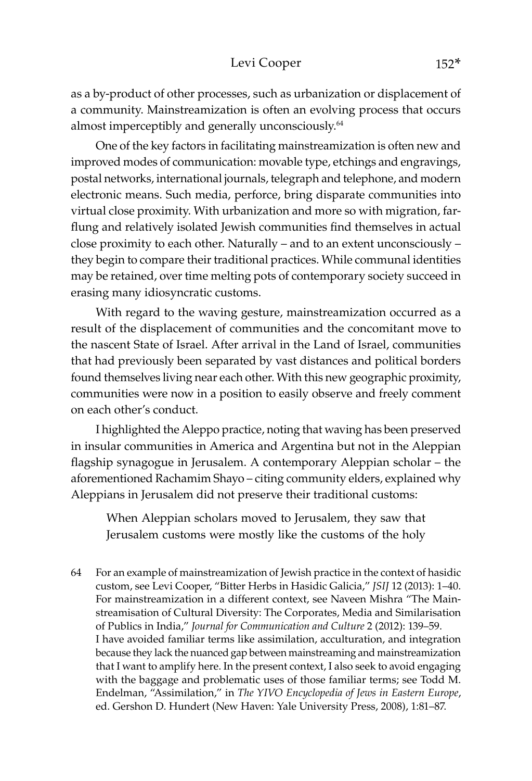as a by-product of other processes, such as urbanization or displacement of a community. Mainstreamization is often an evolving process that occurs almost imperceptibly and generally unconsciously.<sup>64</sup>

One of the key factors in facilitating mainstreamization is often new and improved modes of communication: movable type, etchings and engravings, postal networks, international journals, telegraph and telephone, and modern electronic means. Such media, perforce, bring disparate communities into virtual close proximity. With urbanization and more so with migration, farflung and relatively isolated Jewish communities find themselves in actual close proximity to each other. Naturally – and to an extent unconsciously – they begin to compare their traditional practices. While communal identities may be retained, over time melting pots of contemporary society succeed in erasing many idiosyncratic customs.

With regard to the waving gesture, mainstreamization occurred as a result of the displacement of communities and the concomitant move to the nascent State of Israel. After arrival in the Land of Israel, communities that had previously been separated by vast distances and political borders found themselves living near each other. With this new geographic proximity, communities were now in a position to easily observe and freely comment on each other's conduct.

I highlighted the Aleppo practice, noting that waving has been preserved in insular communities in America and Argentina but not in the Aleppian flagship synagogue in Jerusalem. A contemporary Aleppian scholar – the aforementioned Rachamim Shayo – citing community elders, explained why Aleppians in Jerusalem did not preserve their traditional customs:

When Aleppian scholars moved to Jerusalem, they saw that Jerusalem customs were mostly like the customs of the holy

64 For an example of mainstreamization of Jewish practice in the context of hasidic custom, see Levi Cooper, "Bitter Herbs in Hasidic Galicia," *JSIJ* 12 (2013): 1–40. For mainstreamization in a different context, see Naveen Mishra "The Mainstreamisation of Cultural Diversity: The Corporates, Media and Similarisation of Publics in India," *Journal for Communication and Culture* 2 (2012): 139–59. I have avoided familiar terms like assimilation, acculturation, and integration because they lack the nuanced gap between mainstreaming and mainstreamization that I want to amplify here. In the present context, I also seek to avoid engaging with the baggage and problematic uses of those familiar terms; see Todd M. Endelman, "Assimilation," in *The YIVO Encyclopedia of Jews in Eastern Europe*, ed. Gershon D. Hundert (New Haven: Yale University Press, 2008), 1:81–87.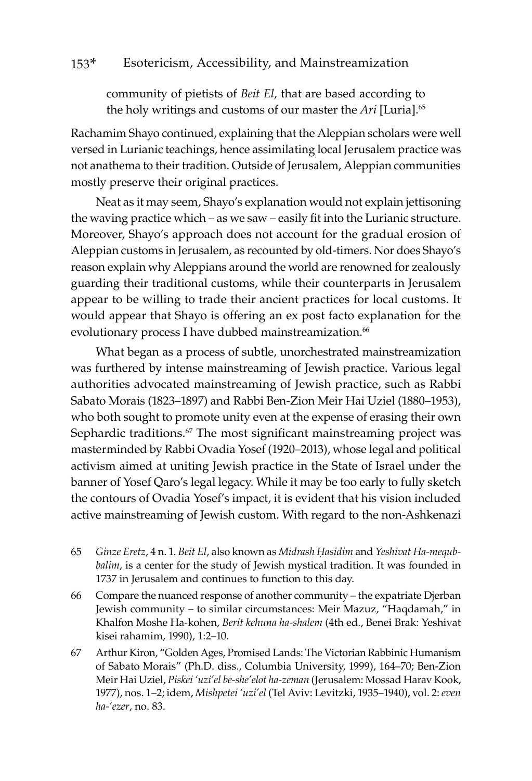community of pietists of *Beit El*, that are based according to the holy writings and customs of our master the *Ari* [Luria].65

Rachamim Shayo continued, explaining that the Aleppian scholars were well versed in Lurianic teachings, hence assimilating local Jerusalem practice was not anathema to their tradition. Outside of Jerusalem, Aleppian communities mostly preserve their original practices.

Neat as it may seem, Shayo's explanation would not explain jettisoning the waving practice which – as we saw – easily fit into the Lurianic structure. Moreover, Shayo's approach does not account for the gradual erosion of Aleppian customs in Jerusalem, as recounted by old-timers. Nor does Shayo's reason explain why Aleppians around the world are renowned for zealously guarding their traditional customs, while their counterparts in Jerusalem appear to be willing to trade their ancient practices for local customs. It would appear that Shayo is offering an ex post facto explanation for the evolutionary process I have dubbed mainstreamization.<sup>66</sup>

What began as a process of subtle, unorchestrated mainstreamization was furthered by intense mainstreaming of Jewish practice. Various legal authorities advocated mainstreaming of Jewish practice, such as Rabbi Sabato Morais (1823–1897) and Rabbi Ben-Zion Meir Hai Uziel (1880–1953), who both sought to promote unity even at the expense of erasing their own Sephardic traditions.<sup>67</sup> The most significant mainstreaming project was masterminded by Rabbi Ovadia Yosef (1920–2013), whose legal and political activism aimed at uniting Jewish practice in the State of Israel under the banner of Yosef Qaro's legal legacy. While it may be too early to fully sketch the contours of Ovadia Yosef's impact, it is evident that his vision included active mainstreaming of Jewish custom. With regard to the non-Ashkenazi

- 65 *Ginze Eretz*, 4 n. 1. *Beit El*, also known as *Midrash Ḥasidim* and *Yeshivat Ha-mequbbalim*, is a center for the study of Jewish mystical tradition. It was founded in 1737 in Jerusalem and continues to function to this day.
- 66 Compare the nuanced response of another community the expatriate Djerban Jewish community – to similar circumstances: Meir Mazuz, "Haqdamah," in Khalfon Moshe Ha-kohen, *Berit kehuna ha-shalem* (4th ed., Benei Brak: Yeshivat kisei rahamim, 1990), 1:2–10.
- 67 Arthur Kiron, "Golden Ages, Promised Lands: The Victorian Rabbinic Humanism of Sabato Morais" (Ph.D. diss., Columbia University, 1999), 164–70; Ben-Zion Meir Hai Uziel, *Piskei 'uzi'el be-she'elot ha-zeman* (Jerusalem: Mossad Harav Kook, 1977), nos. 1–2; idem, *Mishpetei 'uzi'el* (Tel Aviv: Levitzki, 1935–1940), vol. 2: *even ha-'ezer*, no. 83.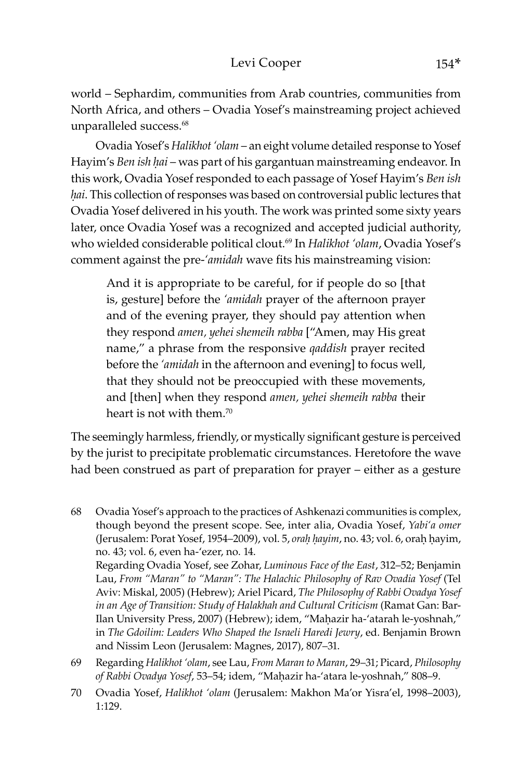world – Sephardim, communities from Arab countries, communities from North Africa, and others – Ovadia Yosef's mainstreaming project achieved unparalleled success.<sup>68</sup>

Ovadia Yosef's *Halikhot 'olam* – an eight volume detailed response to Yosef Hayim's *Ben ish ḥai* – was part of his gargantuan mainstreaming endeavor. In this work, Ovadia Yosef responded to each passage of Yosef Hayim's *Ben ish ḥai*. This collection of responses was based on controversial public lectures that Ovadia Yosef delivered in his youth. The work was printed some sixty years later, once Ovadia Yosef was a recognized and accepted judicial authority, who wielded considerable political clout.69 In *Halikhot 'olam*, Ovadia Yosef's comment against the pre-*'amidah* wave fits his mainstreaming vision:

And it is appropriate to be careful, for if people do so [that is, gesture] before the *'amidah* prayer of the afternoon prayer and of the evening prayer, they should pay attention when they respond *amen, yehei shemeih rabba* ["Amen, may His great name," a phrase from the responsive *qaddish* prayer recited before the *'amidah* in the afternoon and evening] to focus well, that they should not be preoccupied with these movements, and [then] when they respond *amen, yehei shemeih rabba* their heart is not with them.<sup>70</sup>

The seemingly harmless, friendly, or mystically significant gesture is perceived by the jurist to precipitate problematic circumstances. Heretofore the wave had been construed as part of preparation for prayer – either as a gesture

68 Ovadia Yosef's approach to the practices of Ashkenazi communities is complex, though beyond the present scope. See, inter alia, Ovadia Yosef, *Yabi'a omer* (Jerusalem: Porat Yosef, 1954–2009), vol. 5, *oraḥ ḥayim*, no. 43; vol. 6, oraḥ ḥayim, no. 43; vol. 6, even ha-'ezer, no. 14.

Regarding Ovadia Yosef, see Zohar, *Luminous Face of the East*, 312–52; Benjamin Lau, *From "Maran" to "Maran": The Halachic Philosophy of Rav Ovadia Yosef* (Tel Aviv: Miskal, 2005) (Hebrew); Ariel Picard, *The Philosophy of Rabbi Ovadya Yosef in an Age of Transition: Study of Halakhah and Cultural Criticism* (Ramat Gan: Bar-Ilan University Press, 2007) (Hebrew); idem, "Maḥazir ha-'atarah le-yoshnah," in *The Gdoilim: Leaders Who Shaped the Israeli Haredi Jewry*, ed. Benjamin Brown and Nissim Leon (Jerusalem: Magnes, 2017), 807–31.

- 69 Regarding *Halikhot 'olam*, see Lau, *From Maran to Maran*, 29–31; Picard, *Philosophy of Rabbi Ovadya Yosef*, 53–54; idem, "Maêazir ha-'atara le-yoshnah," 808–9.
- 70 Ovadia Yosef, *Halikhot 'olam* (Jerusalem: Makhon Ma'or Yisra'el, 1998–2003), 1:129.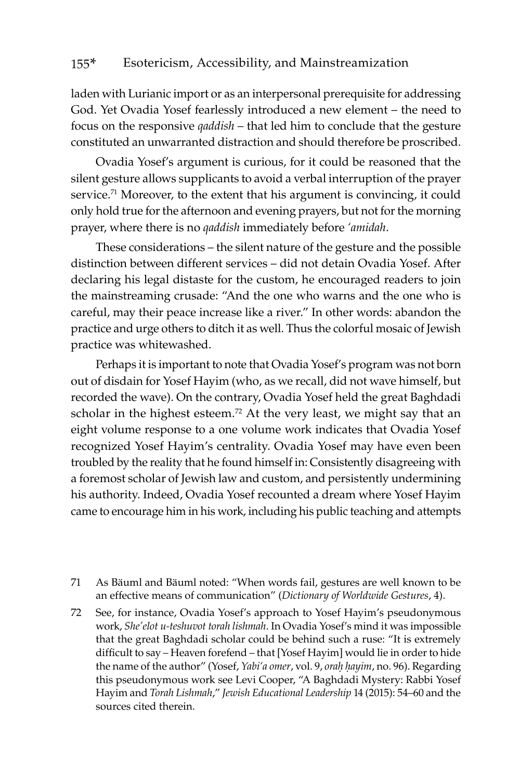laden with Lurianic import or as an interpersonal prerequisite for addressing God. Yet Ovadia Yosef fearlessly introduced a new element – the need to focus on the responsive *qaddish* – that led him to conclude that the gesture constituted an unwarranted distraction and should therefore be proscribed.

Ovadia Yosef's argument is curious, for it could be reasoned that the silent gesture allows supplicants to avoid a verbal interruption of the prayer service.<sup>71</sup> Moreover, to the extent that his argument is convincing, it could only hold true for the afternoon and evening prayers, but not for the morning prayer, where there is no *qaddish* immediately before *'amidah*.

These considerations – the silent nature of the gesture and the possible distinction between different services – did not detain Ovadia Yosef. After declaring his legal distaste for the custom, he encouraged readers to join the mainstreaming crusade: "And the one who warns and the one who is careful, may their peace increase like a river." In other words: abandon the practice and urge others to ditch it as well. Thus the colorful mosaic of Jewish practice was whitewashed.

Perhaps it is important to note that Ovadia Yosef's program was not born out of disdain for Yosef Hayim (who, as we recall, did not wave himself, but recorded the wave). On the contrary, Ovadia Yosef held the great Baghdadi scholar in the highest esteem.<sup>72</sup> At the very least, we might say that an eight volume response to a one volume work indicates that Ovadia Yosef recognized Yosef Hayim's centrality. Ovadia Yosef may have even been troubled by the reality that he found himself in: Consistently disagreeing with a foremost scholar of Jewish law and custom, and persistently undermining his authority. Indeed, Ovadia Yosef recounted a dream where Yosef Hayim came to encourage him in his work, including his public teaching and attempts

- 71 As Bäuml and Bäuml noted: "When words fail, gestures are well known to be an effective means of communication" (*Dictionary of Worldwide Gestures*, 4).
- 72 See, for instance, Ovadia Yosef's approach to Yosef Hayim's pseudonymous work, *She'elot u-teshuvot torah lishmah*. In Ovadia Yosef's mind it was impossible that the great Baghdadi scholar could be behind such a ruse: "It is extremely difficult to say – Heaven forefend – that [Yosef Hayim] would lie in order to hide the name of the author" (Yosef, *Yabi'a omer*, vol. 9, *oraḥ ḥayim*, no. 96). Regarding this pseudonymous work see Levi Cooper, "A Baghdadi Mystery: Rabbi Yosef Hayim and *Torah Lishmah*," *Jewish Educational Leadership* 14 (2015): 54–60 and the sources cited therein.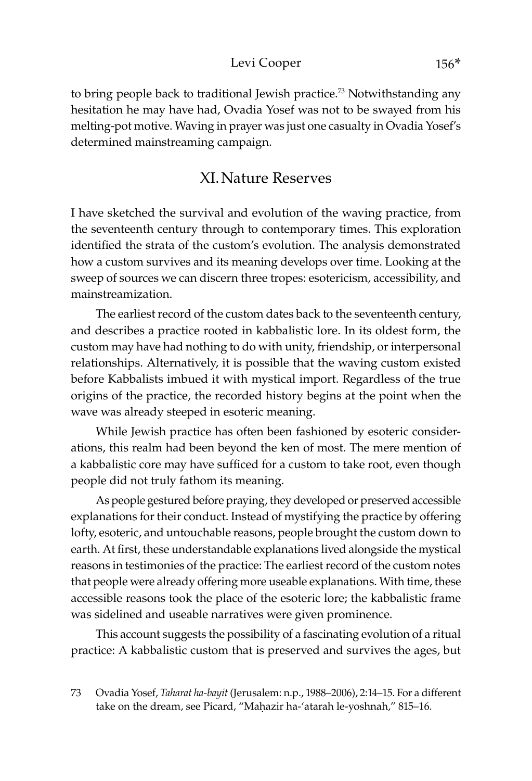#### Levi Cooper 156\*

to bring people back to traditional Jewish practice.<sup>73</sup> Notwithstanding any hesitation he may have had, Ovadia Yosef was not to be swayed from his melting-pot motive. Waving in prayer was just one casualty in Ovadia Yosef's determined mainstreaming campaign.

### XI.Nature Reserves

I have sketched the survival and evolution of the waving practice, from the seventeenth century through to contemporary times. This exploration identified the strata of the custom's evolution. The analysis demonstrated how a custom survives and its meaning develops over time. Looking at the sweep of sources we can discern three tropes: esotericism, accessibility, and mainstreamization.

The earliest record of the custom dates back to the seventeenth century, and describes a practice rooted in kabbalistic lore. In its oldest form, the custom may have had nothing to do with unity, friendship, or interpersonal relationships. Alternatively, it is possible that the waving custom existed before Kabbalists imbued it with mystical import. Regardless of the true origins of the practice, the recorded history begins at the point when the wave was already steeped in esoteric meaning.

While Jewish practice has often been fashioned by esoteric considerations, this realm had been beyond the ken of most. The mere mention of a kabbalistic core may have sufficed for a custom to take root, even though people did not truly fathom its meaning.

As people gestured before praying, they developed or preserved accessible explanations for their conduct. Instead of mystifying the practice by offering lofty, esoteric, and untouchable reasons, people brought the custom down to earth. At first, these understandable explanations lived alongside the mystical reasons in testimonies of the practice: The earliest record of the custom notes that people were already offering more useable explanations. With time, these accessible reasons took the place of the esoteric lore; the kabbalistic frame was sidelined and useable narratives were given prominence.

This account suggests the possibility of a fascinating evolution of a ritual practice: A kabbalistic custom that is preserved and survives the ages, but

<sup>73</sup> Ovadia Yosef, *Taharat ha-bayit* (Jerusalem: n.p., 1988–2006), 2:14–15. For a different take on the dream, see Picard, "Maḥazir ha-'atarah le-yoshnah," 815-16.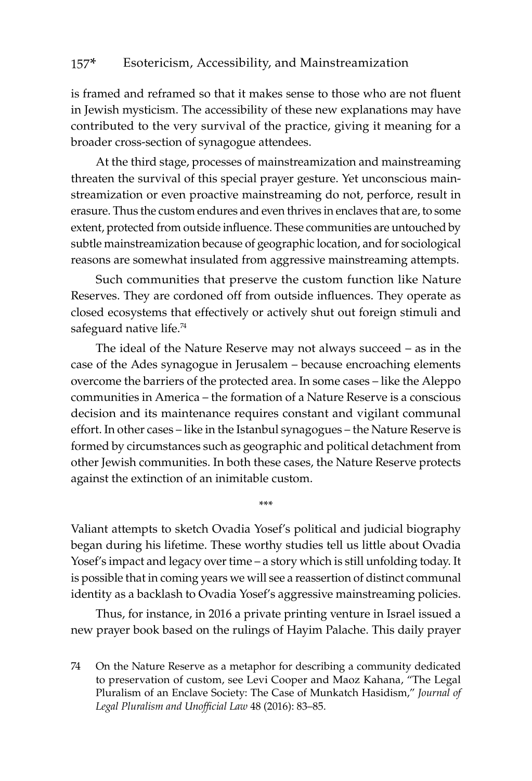is framed and reframed so that it makes sense to those who are not fluent in Jewish mysticism. The accessibility of these new explanations may have contributed to the very survival of the practice, giving it meaning for a broader cross-section of synagogue attendees.

At the third stage, processes of mainstreamization and mainstreaming threaten the survival of this special prayer gesture. Yet unconscious mainstreamization or even proactive mainstreaming do not, perforce, result in erasure. Thus the custom endures and even thrives in enclaves that are, to some extent, protected from outside influence. These communities are untouched by subtle mainstreamization because of geographic location, and for sociological reasons are somewhat insulated from aggressive mainstreaming attempts.

Such communities that preserve the custom function like Nature Reserves. They are cordoned off from outside influences. They operate as closed ecosystems that effectively or actively shut out foreign stimuli and safeguard native life.<sup>74</sup>

The ideal of the Nature Reserve may not always succeed – as in the case of the Ades synagogue in Jerusalem – because encroaching elements overcome the barriers of the protected area. In some cases – like the Aleppo communities in America – the formation of a Nature Reserve is a conscious decision and its maintenance requires constant and vigilant communal effort. In other cases – like in the Istanbul synagogues – the Nature Reserve is formed by circumstances such as geographic and political detachment from other Jewish communities. In both these cases, the Nature Reserve protects against the extinction of an inimitable custom.

Valiant attempts to sketch Ovadia Yosef's political and judicial biography began during his lifetime. These worthy studies tell us little about Ovadia Yosef's impact and legacy over time – a story which is still unfolding today. It is possible that in coming years we will see a reassertion of distinct communal identity as a backlash to Ovadia Yosef's aggressive mainstreaming policies.

\*\*\*

Thus, for instance, in 2016 a private printing venture in Israel issued a new prayer book based on the rulings of Hayim Palache. This daily prayer

74 On the Nature Reserve as a metaphor for describing a community dedicated to preservation of custom, see Levi Cooper and Maoz Kahana, "The Legal Pluralism of an Enclave Society: The Case of Munkatch Hasidism," *Journal of Legal Pluralism and Unofficial Law* 48 (2016): 83–85.